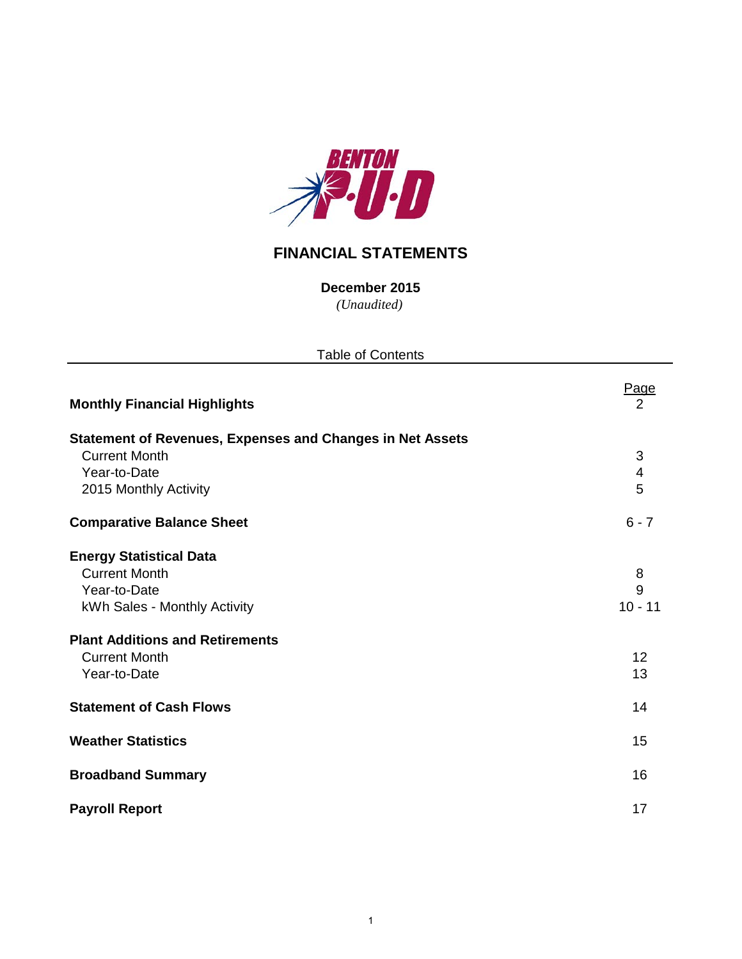

# **FINANCIAL STATEMENTS**

*(Unaudited)* **December 2015**

| <b>Table of Contents</b>                                                                                                                                                                 |                                 |  |  |  |  |  |  |
|------------------------------------------------------------------------------------------------------------------------------------------------------------------------------------------|---------------------------------|--|--|--|--|--|--|
| <b>Monthly Financial Highlights</b>                                                                                                                                                      | Page<br>2                       |  |  |  |  |  |  |
| <b>Statement of Revenues, Expenses and Changes in Net Assets</b><br><b>Current Month</b><br>Year-to-Date<br>2015 Monthly Activity                                                        | 3<br>4<br>5                     |  |  |  |  |  |  |
| <b>Comparative Balance Sheet</b>                                                                                                                                                         | $6 - 7$                         |  |  |  |  |  |  |
| <b>Energy Statistical Data</b><br><b>Current Month</b><br>Year-to-Date<br>kWh Sales - Monthly Activity<br><b>Plant Additions and Retirements</b><br><b>Current Month</b><br>Year-to-Date | 8<br>9<br>$10 - 11$<br>12<br>13 |  |  |  |  |  |  |
| <b>Statement of Cash Flows</b>                                                                                                                                                           | 14                              |  |  |  |  |  |  |
| <b>Weather Statistics</b>                                                                                                                                                                | 15                              |  |  |  |  |  |  |
| <b>Broadband Summary</b>                                                                                                                                                                 | 16                              |  |  |  |  |  |  |
| <b>Payroll Report</b>                                                                                                                                                                    | 17                              |  |  |  |  |  |  |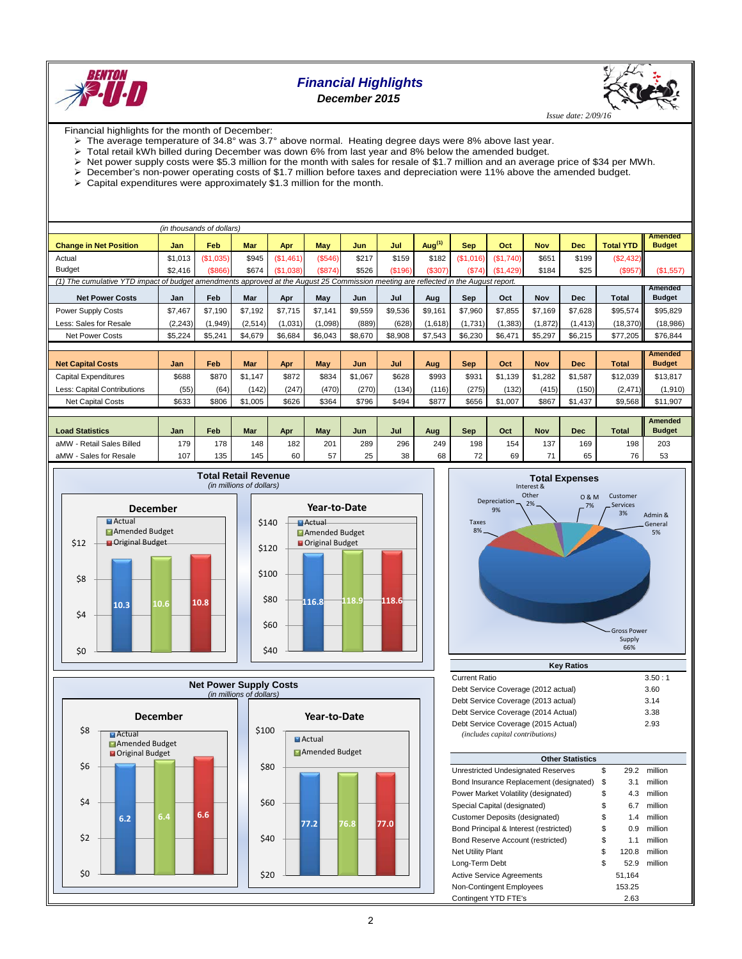

# *Financial Highlights December 2015*



Financial highlights for the month of December:

- The average temperature of 34.8° was 3.7° above normal. Heating degree days were 8% above last year.
- Total retail kWh billed during December was down 6% from last year and 8% below the amended budget.
- Net power supply costs were \$5.3 million for the month with sales for resale of \$1.7 million and an average price of \$34 per MWh.
- December's non-power operating costs of \$1.7 million before taxes and depreciation were 11% above the amended budget.
- $\geq$  Capital expenditures were approximately \$1.3 million for the month.

| (in thousands of dollars)                                                                                                           |          |           |         |           |            |         |         |           |            |           |            |            |                  |                                 |
|-------------------------------------------------------------------------------------------------------------------------------------|----------|-----------|---------|-----------|------------|---------|---------|-----------|------------|-----------|------------|------------|------------------|---------------------------------|
| <b>Change in Net Position</b>                                                                                                       | Jan      | Feb       | Mar     | Apr       | <b>May</b> | Jun     | Jul     | Aug $(1)$ | <b>Sep</b> | Oct       | <b>Nov</b> | <b>Dec</b> | <b>Total YTD</b> | <b>Amended</b><br><b>Budget</b> |
| Actual                                                                                                                              | \$1,013  | (\$1,035) | \$945   | (S1.461)  | (\$546)    | \$217   | \$159   | \$182     | (\$1,016)  | (\$1,740) | \$651      | \$199      | (S2, 432)        |                                 |
| <b>Budget</b>                                                                                                                       | \$2,416  | ( \$866)  | \$674   | (\$1,038) | (\$874)    | \$526   | (\$196) | (\$307)   | (\$74)     | (\$1,429) | \$184      | \$25       | (\$957)          | (\$1,557)                       |
| (1) The cumulative YTD impact of budget amendments approved at the August 25 Commission meeting are reflected in the August report. |          |           |         |           |            |         |         |           |            |           |            |            |                  |                                 |
| <b>Net Power Costs</b>                                                                                                              | Jan      | Feb       | Mar     | Apr       | May        | Jun     | Jul     | Aug       | Sep        | Oct       | Nov        | <b>Dec</b> | <b>Total</b>     | Amended<br><b>Budget</b>        |
| Power Supply Costs                                                                                                                  | \$7,467  | \$7.190   | \$7.192 | \$7,715   | \$7,141    | \$9,559 | \$9,536 | \$9,161   | \$7,960    | \$7,855   | \$7,169    | \$7,628    | \$95,574         | \$95,829                        |
| Less: Sales for Resale                                                                                                              | (2, 243) | (1, 949)  | (2,514) | (1,031)   | (1,098)    | (889)   | (628)   | (1,618)   | (1,731)    | (1, 383)  | (1,872)    | (1, 413)   | (18, 370)        | (18,986)                        |
| <b>Net Power Costs</b>                                                                                                              | \$5,224  | \$5,241   | \$4,679 | \$6,684   | \$6,043    | \$8,670 | \$8,908 | \$7,543   | \$6,230    | \$6,471   | \$5,297    | \$6,215    | \$77.205         | \$76,844                        |
|                                                                                                                                     |          |           |         |           |            |         |         |           |            |           |            |            |                  |                                 |
| <b>Net Capital Costs</b>                                                                                                            | Jan      | Feb       | Mar     | Apr       | May        | Jun     | Jul     | Aug       | <b>Sep</b> | Oct       | <b>Nov</b> | <b>Dec</b> | <b>Total</b>     | <b>Amended</b><br><b>Budget</b> |
| <b>Capital Expenditures</b>                                                                                                         | \$688    | \$870     | \$1.147 | \$872     | \$834      | \$1.067 | \$628   | \$993     | \$931      | \$1.139   | \$1,282    | \$1.587    | \$12,039         | \$13,817                        |
| Less: Capital Contributions                                                                                                         | (55)     | (64)      | (142)   | (247)     | (470)      | (270)   | (134)   | (116)     | (275)      | (132)     | (415)      | (150)      | (2, 471)         | (1,910)                         |
| <b>Net Capital Costs</b>                                                                                                            | \$633    | \$806     | \$1,005 | \$626     | \$364      | \$796   | \$494   | \$877     | \$656      | \$1,007   | \$867      | \$1,437    | \$9,568          | \$11,907                        |
|                                                                                                                                     |          |           |         |           |            |         |         |           |            |           |            |            |                  |                                 |
| <b>Load Statistics</b>                                                                                                              | Jan      | Feb       | Mar     | Apr       | May        | Jun     | Jul     | Aug       | <b>Sep</b> | Oct       | <b>Nov</b> | <b>Dec</b> | <b>Total</b>     | <b>Amended</b><br><b>Budget</b> |
| aMW - Retail Sales Billed                                                                                                           | 179      | 178       | 148     | 182       | 201        | 289     | 296     | 249       | 198        | 154       | 137        | 169        | 198              | 203                             |
| aMW - Sales for Resale                                                                                                              | 107      | 135       | 145     | 60        | 57         | 25      | 38      | 68        | 72         | 69        | 71         | 65         | 76               | 53                              |

**116.8 118.9 118.6**

**Year-to-Date**



\$0

 $$2$ 

\$4

\$6

\$8

**Actual** 





| <b>Key Ratios</b>                                                       |        |  |  |  |  |  |  |  |  |
|-------------------------------------------------------------------------|--------|--|--|--|--|--|--|--|--|
| <b>Current Ratio</b>                                                    | 3.50:1 |  |  |  |  |  |  |  |  |
| Debt Service Coverage (2012 actual)                                     | 3.60   |  |  |  |  |  |  |  |  |
| Debt Service Coverage (2013 actual)                                     | 3.14   |  |  |  |  |  |  |  |  |
| Debt Service Coverage (2014 Actual)                                     | 3.38   |  |  |  |  |  |  |  |  |
| Debt Service Coverage (2015 Actual)<br>(includes capital contributions) | 2.93   |  |  |  |  |  |  |  |  |

| <b>Other Statistics</b>                 |    |        |         |  |  |  |  |  |  |  |
|-----------------------------------------|----|--------|---------|--|--|--|--|--|--|--|
| Unrestricted Undesignated Reserves      | \$ | 29.2   | million |  |  |  |  |  |  |  |
| Bond Insurance Replacement (designated) | \$ | 3.1    | million |  |  |  |  |  |  |  |
| Power Market Volatility (designated)    | \$ | 4.3    | million |  |  |  |  |  |  |  |
| Special Capital (designated)            | \$ | 6.7    | million |  |  |  |  |  |  |  |
| Customer Deposits (designated)          | \$ | 1.4    | million |  |  |  |  |  |  |  |
| Bond Principal & Interest (restricted)  | \$ | 0.9    | million |  |  |  |  |  |  |  |
| Bond Reserve Account (restricted)       | \$ | 1.1    | million |  |  |  |  |  |  |  |
| <b>Net Utility Plant</b>                | \$ | 120.8  | million |  |  |  |  |  |  |  |
| Long-Term Debt                          | \$ | 52.9   | million |  |  |  |  |  |  |  |
| <b>Active Service Agreements</b>        |    | 51,164 |         |  |  |  |  |  |  |  |
| Non-Contingent Employees                |    | 153.25 |         |  |  |  |  |  |  |  |
| Contingent YTD FTE's                    |    | 2.63   |         |  |  |  |  |  |  |  |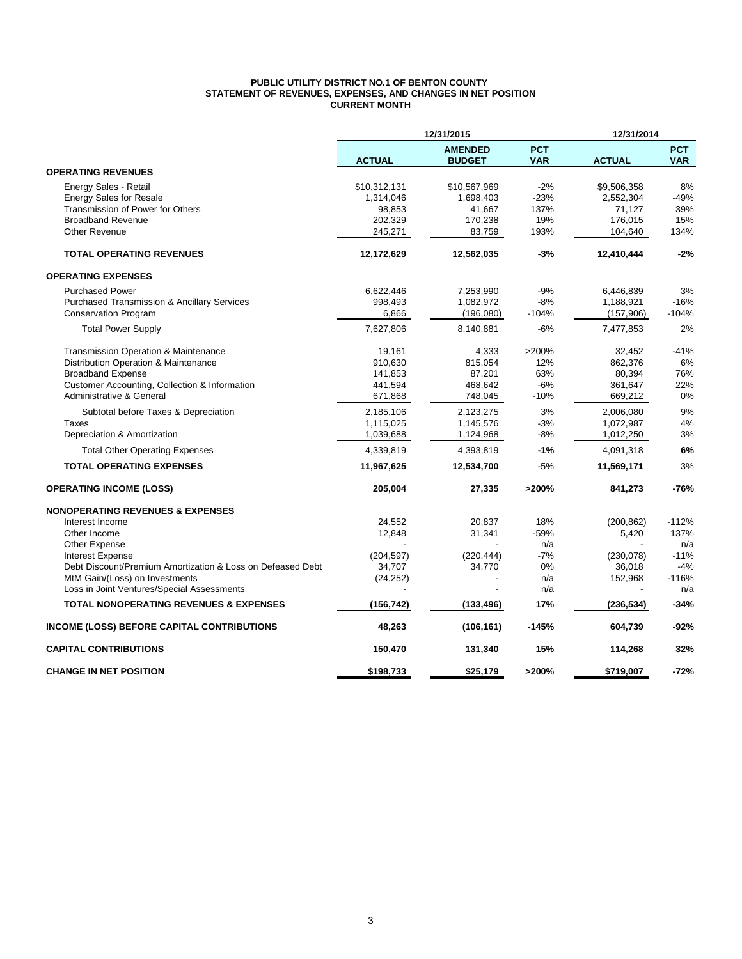#### **PUBLIC UTILITY DISTRICT NO.1 OF BENTON COUNTY STATEMENT OF REVENUES, EXPENSES, AND CHANGES IN NET POSITION CURRENT MONTH**

|                                                            | 12/31/2015    |                                 |                          |               | 12/31/2014               |  |
|------------------------------------------------------------|---------------|---------------------------------|--------------------------|---------------|--------------------------|--|
|                                                            | <b>ACTUAL</b> | <b>AMENDED</b><br><b>BUDGET</b> | <b>PCT</b><br><b>VAR</b> | <b>ACTUAL</b> | <b>PCT</b><br><b>VAR</b> |  |
| <b>OPERATING REVENUES</b>                                  |               |                                 |                          |               |                          |  |
| Energy Sales - Retail                                      | \$10,312,131  | \$10,567,969                    | $-2%$                    | \$9,506,358   | 8%                       |  |
| <b>Energy Sales for Resale</b>                             | 1,314,046     | 1,698,403                       | $-23%$                   | 2,552,304     | $-49%$                   |  |
| Transmission of Power for Others                           | 98,853        | 41,667                          | 137%                     | 71,127        | 39%                      |  |
| <b>Broadband Revenue</b>                                   | 202,329       | 170,238                         | 19%                      | 176,015       | 15%                      |  |
| <b>Other Revenue</b>                                       | 245,271       | 83,759                          | 193%                     | 104,640       | 134%                     |  |
| <b>TOTAL OPERATING REVENUES</b>                            | 12,172,629    | 12,562,035                      | $-3%$                    | 12,410,444    | $-2%$                    |  |
| <b>OPERATING EXPENSES</b>                                  |               |                                 |                          |               |                          |  |
| <b>Purchased Power</b>                                     | 6,622,446     | 7,253,990                       | $-9%$                    | 6,446,839     | 3%                       |  |
| <b>Purchased Transmission &amp; Ancillary Services</b>     | 998,493       | 1,082,972                       | $-8%$                    | 1,188,921     | $-16%$                   |  |
| <b>Conservation Program</b>                                | 6,866         | (196,080)                       | $-104%$                  | (157,906)     | $-104%$                  |  |
| <b>Total Power Supply</b>                                  | 7,627,806     | 8,140,881                       | $-6%$                    | 7,477,853     | 2%                       |  |
| <b>Transmission Operation &amp; Maintenance</b>            | 19,161        | 4,333                           | >200%                    | 32,452        | $-41%$                   |  |
| Distribution Operation & Maintenance                       | 910,630       | 815,054                         | 12%                      | 862,376       | 6%                       |  |
| <b>Broadband Expense</b>                                   | 141,853       | 87,201                          | 63%                      | 80,394        | 76%                      |  |
| Customer Accounting, Collection & Information              | 441,594       | 468,642                         | $-6%$                    | 361,647       | 22%                      |  |
| Administrative & General                                   | 671,868       | 748,045                         | $-10%$                   | 669,212       | 0%                       |  |
| Subtotal before Taxes & Depreciation                       | 2,185,106     | 2,123,275                       | 3%                       | 2,006,080     | 9%                       |  |
| <b>Taxes</b>                                               | 1,115,025     | 1,145,576                       | $-3%$                    | 1,072,987     | 4%                       |  |
| Depreciation & Amortization                                | 1,039,688     | 1,124,968                       | $-8%$                    | 1,012,250     | 3%                       |  |
| <b>Total Other Operating Expenses</b>                      | 4,339,819     | 4,393,819                       | $-1%$                    | 4,091,318     | 6%                       |  |
| <b>TOTAL OPERATING EXPENSES</b>                            | 11,967,625    | 12,534,700                      | $-5%$                    | 11,569,171    | 3%                       |  |
| <b>OPERATING INCOME (LOSS)</b>                             | 205,004       | 27,335                          | >200%                    | 841,273       | $-76%$                   |  |
| <b>NONOPERATING REVENUES &amp; EXPENSES</b>                |               |                                 |                          |               |                          |  |
| Interest Income                                            | 24,552        | 20,837                          | 18%                      | (200, 862)    | $-112%$                  |  |
| Other Income                                               | 12,848        | 31,341                          | $-59%$                   | 5,420         | 137%                     |  |
| Other Expense                                              |               |                                 | n/a                      |               | n/a                      |  |
| <b>Interest Expense</b>                                    | (204, 597)    | (220, 444)                      | $-7%$                    | (230, 078)    | $-11%$                   |  |
| Debt Discount/Premium Amortization & Loss on Defeased Debt | 34,707        | 34,770                          | 0%                       | 36,018        | $-4%$                    |  |
| MtM Gain/(Loss) on Investments                             | (24, 252)     |                                 | n/a                      | 152,968       | $-116%$                  |  |
| Loss in Joint Ventures/Special Assessments                 |               |                                 | n/a                      |               | n/a                      |  |
| TOTAL NONOPERATING REVENUES & EXPENSES                     | (156, 742)    | (133, 496)                      | 17%                      | (236, 534)    | $-34%$                   |  |
| INCOME (LOSS) BEFORE CAPITAL CONTRIBUTIONS                 | 48,263        | (106, 161)                      | $-145%$                  | 604,739       | -92%                     |  |
| <b>CAPITAL CONTRIBUTIONS</b>                               | 150,470       | 131,340                         | 15%                      | 114,268       | 32%                      |  |
| <b>CHANGE IN NET POSITION</b>                              | \$198.733     | \$25.179                        | >200%                    | \$719,007     | $-72%$                   |  |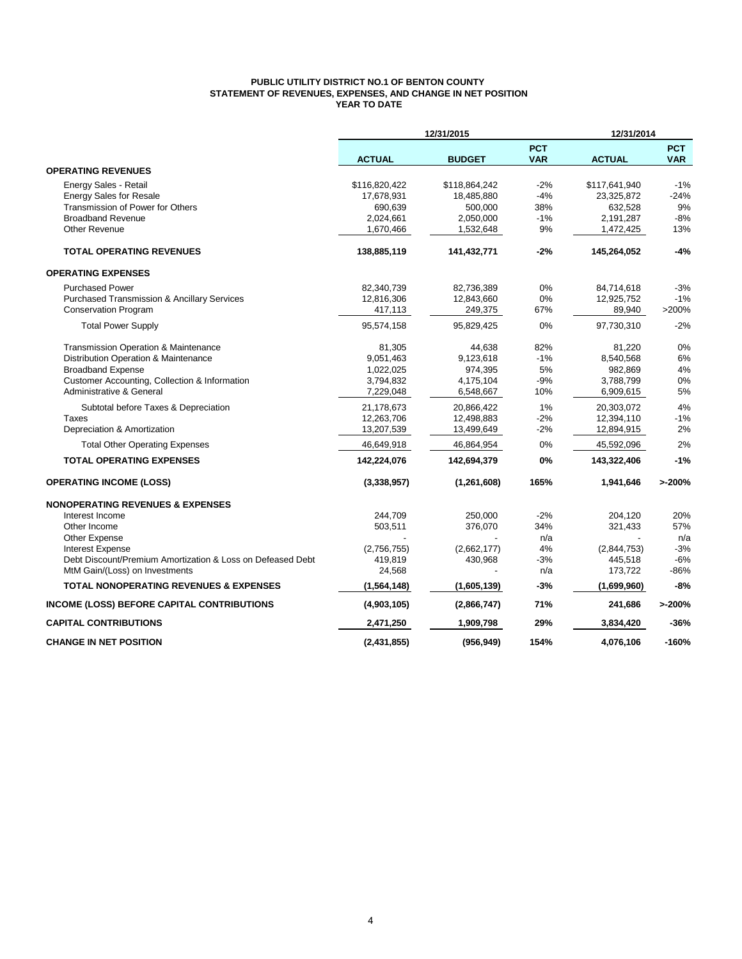## **PUBLIC UTILITY DISTRICT NO.1 OF BENTON COUNTY STATEMENT OF REVENUES, EXPENSES, AND CHANGE IN NET POSITION YEAR TO DATE**

|                                                            | 12/31/2015    |               |                          | 12/31/2014    |                          |  |
|------------------------------------------------------------|---------------|---------------|--------------------------|---------------|--------------------------|--|
|                                                            | <b>ACTUAL</b> | <b>BUDGET</b> | <b>PCT</b><br><b>VAR</b> | <b>ACTUAL</b> | <b>PCT</b><br><b>VAR</b> |  |
| <b>OPERATING REVENUES</b>                                  |               |               |                          |               |                          |  |
| Energy Sales - Retail                                      | \$116,820,422 | \$118,864,242 | $-2%$                    | \$117,641,940 | $-1%$                    |  |
| <b>Energy Sales for Resale</b>                             | 17,678,931    | 18,485,880    | $-4%$                    | 23,325,872    | $-24%$                   |  |
| Transmission of Power for Others                           | 690,639       | 500,000       | 38%                      | 632,528       | 9%                       |  |
| <b>Broadband Revenue</b>                                   | 2,024,661     | 2,050,000     | $-1%$                    | 2,191,287     | $-8%$                    |  |
| <b>Other Revenue</b>                                       | 1,670,466     | 1,532,648     | 9%                       | 1,472,425     | 13%                      |  |
| <b>TOTAL OPERATING REVENUES</b>                            | 138,885,119   | 141,432,771   | $-2%$                    | 145,264,052   | $-4%$                    |  |
| <b>OPERATING EXPENSES</b>                                  |               |               |                          |               |                          |  |
| <b>Purchased Power</b>                                     | 82,340,739    | 82,736,389    | 0%                       | 84,714,618    | $-3%$                    |  |
| <b>Purchased Transmission &amp; Ancillary Services</b>     | 12,816,306    | 12,843,660    | 0%                       | 12,925,752    | $-1%$                    |  |
| <b>Conservation Program</b>                                | 417,113       | 249,375       | 67%                      | 89,940        | >200%                    |  |
| <b>Total Power Supply</b>                                  | 95,574,158    | 95,829,425    | 0%                       | 97,730,310    | $-2%$                    |  |
| Transmission Operation & Maintenance                       | 81,305        | 44,638        | 82%                      | 81,220        | 0%                       |  |
| Distribution Operation & Maintenance                       | 9,051,463     | 9,123,618     | $-1%$                    | 8,540,568     | 6%                       |  |
| <b>Broadband Expense</b>                                   | 1,022,025     | 974,395       | 5%                       | 982,869       | 4%                       |  |
| Customer Accounting, Collection & Information              | 3,794,832     | 4,175,104     | $-9%$                    | 3,788,799     | 0%                       |  |
| Administrative & General                                   | 7,229,048     | 6,548,667     | 10%                      | 6,909,615     | 5%                       |  |
| Subtotal before Taxes & Depreciation                       | 21,178,673    | 20,866,422    | 1%                       | 20,303,072    | 4%                       |  |
| Taxes                                                      | 12,263,706    | 12,498,883    | $-2%$                    | 12,394,110    | $-1%$                    |  |
| Depreciation & Amortization                                | 13,207,539    | 13,499,649    | $-2%$                    | 12,894,915    | 2%                       |  |
| <b>Total Other Operating Expenses</b>                      | 46,649,918    | 46,864,954    | 0%                       | 45,592,096    | 2%                       |  |
| <b>TOTAL OPERATING EXPENSES</b>                            | 142,224,076   | 142,694,379   | 0%                       | 143,322,406   | $-1%$                    |  |
| <b>OPERATING INCOME (LOSS)</b>                             | (3,338,957)   | (1, 261, 608) | 165%                     | 1,941,646     | >200%                    |  |
| <b>NONOPERATING REVENUES &amp; EXPENSES</b>                |               |               |                          |               |                          |  |
| Interest Income                                            | 244,709       | 250,000       | $-2%$                    | 204,120       | 20%                      |  |
| Other Income                                               | 503,511       | 376,070       | 34%                      | 321,433       | 57%                      |  |
| Other Expense                                              |               |               | n/a                      |               | n/a                      |  |
| <b>Interest Expense</b>                                    | (2,756,755)   | (2,662,177)   | 4%                       | (2,844,753)   | $-3%$                    |  |
| Debt Discount/Premium Amortization & Loss on Defeased Debt | 419,819       | 430,968       | $-3%$                    | 445,518       | $-6%$                    |  |
| MtM Gain/(Loss) on Investments                             | 24,568        |               | n/a                      | 173,722       | $-86%$                   |  |
| <b>TOTAL NONOPERATING REVENUES &amp; EXPENSES</b>          | (1, 564, 148) | (1,605,139)   | $-3%$                    | (1,699,960)   | $-8%$                    |  |
| <b>INCOME (LOSS) BEFORE CAPITAL CONTRIBUTIONS</b>          | (4,903,105)   | (2,866,747)   | 71%                      | 241,686       | >200%                    |  |
| <b>CAPITAL CONTRIBUTIONS</b>                               | 2,471,250     | 1,909,798     | 29%                      | 3,834,420     | $-36%$                   |  |
| <b>CHANGE IN NET POSITION</b>                              | (2,431,855)   | (956, 949)    | 154%                     | 4,076,106     | $-160%$                  |  |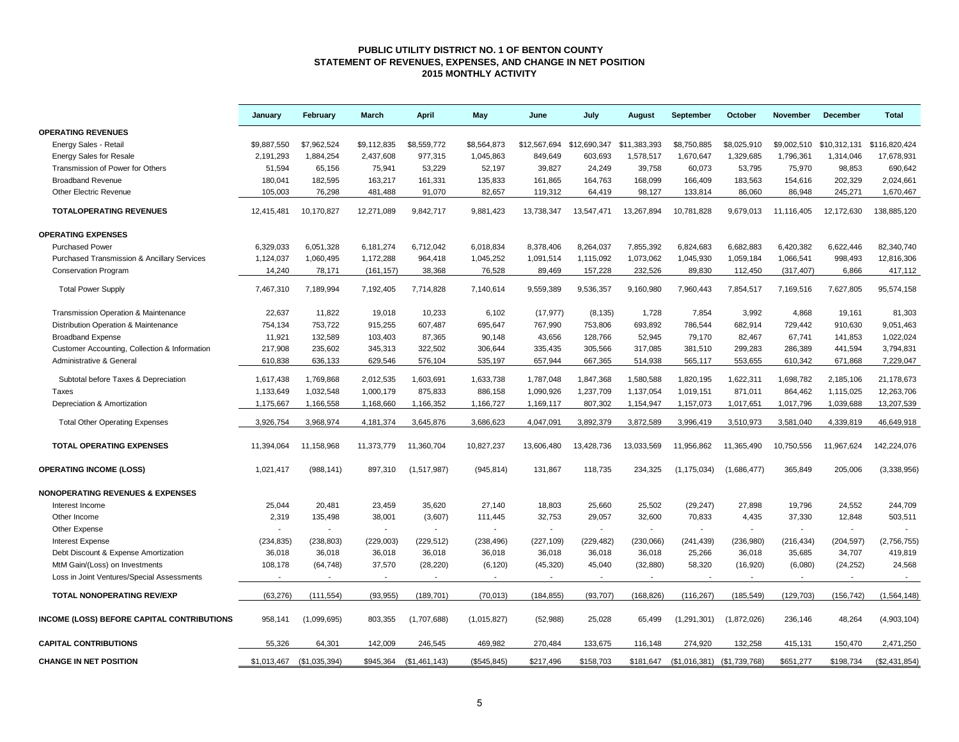### **PUBLIC UTILITY DISTRICT NO. 1 OF BENTON COUNTY STATEMENT OF REVENUES, EXPENSES, AND CHANGE IN NET POSITION 2015 MONTHLY ACTIVITY**

|                                               | January     | February      | <b>March</b>             | April          | May          | June                      | July       | August       | September                     | October     | <b>November</b> | <b>December</b> | <b>Total</b>  |
|-----------------------------------------------|-------------|---------------|--------------------------|----------------|--------------|---------------------------|------------|--------------|-------------------------------|-------------|-----------------|-----------------|---------------|
| <b>OPERATING REVENUES</b>                     |             |               |                          |                |              |                           |            |              |                               |             |                 |                 |               |
| Energy Sales - Retail                         | \$9,887,550 | \$7,962,524   | \$9,112,835              | \$8,559,772    | \$8,564,873  | \$12,567,694 \$12,690,347 |            | \$11,383,393 | \$8,750,885                   | \$8,025,910 | \$9,002,510     | \$10,312,131    | \$116,820,424 |
| <b>Energy Sales for Resale</b>                | 2,191,293   | 1,884,254     | 2,437,608                | 977,315        | 1,045,863    | 849,649                   | 603,693    | 1,578,517    | 1,670,647                     | 1,329,685   | 1,796,361       | 1,314,046       | 17,678,931    |
| Transmission of Power for Others              | 51,594      | 65,156        | 75,941                   | 53,229         | 52,197       | 39,827                    | 24,249     | 39,758       | 60,073                        | 53,795      | 75,970          | 98,853          | 690,642       |
| <b>Broadband Revenue</b>                      | 180,041     | 182,595       | 163,217                  | 161,331        | 135,833      | 161,865                   | 164,763    | 168,099      | 166,409                       | 183,563     | 154,616         | 202,329         | 2,024,661     |
| <b>Other Electric Revenue</b>                 | 105.003     | 76,298        | 481,488                  | 91,070         | 82,657       | 119,312                   | 64,419     | 98,127       | 133,814                       | 86,060      | 86,948          | 245,271         | 1,670,467     |
| <b>TOTALOPERATING REVENUES</b>                | 12,415,481  | 10,170,827    | 12,271,089               | 9,842,717      | 9,881,423    | 13,738,347                | 13,547,471 | 13,267,894   | 10,781,828                    | 9,679,013   | 11,116,405      | 12,172,630      | 138,885,120   |
| <b>OPERATING EXPENSES</b>                     |             |               |                          |                |              |                           |            |              |                               |             |                 |                 |               |
| <b>Purchased Power</b>                        | 6,329,033   | 6,051,328     | 6,181,274                | 6,712,042      | 6,018,834    | 8,378,406                 | 8,264,037  | 7,855,392    | 6,824,683                     | 6,682,883   | 6,420,382       | 6,622,446       | 82,340,740    |
| Purchased Transmission & Ancillary Services   | 1,124,037   | 1,060,495     | 1,172,288                | 964,418        | 1,045,252    | 1,091,514                 | 1,115,092  | 1,073,062    | 1,045,930                     | 1,059,184   | 1,066,541       | 998,493         | 12,816,306    |
| <b>Conservation Program</b>                   | 14,240      | 78,171        | (161, 157)               | 38,368         | 76,528       | 89,469                    | 157,228    | 232,526      | 89,830                        | 112,450     | (317, 407)      | 6,866           | 417,112       |
| <b>Total Power Supply</b>                     | 7,467,310   | 7,189,994     | 7,192,405                | 7,714,828      | 7,140,614    | 9,559,389                 | 9,536,357  | 9,160,980    | 7,960,443                     | 7,854,517   | 7,169,516       | 7,627,805       | 95,574,158    |
| Transmission Operation & Maintenance          | 22,637      | 11,822        | 19,018                   | 10,233         | 6,102        | (17, 977)                 | (8, 135)   | 1,728        | 7,854                         | 3,992       | 4,868           | 19,161          | 81,303        |
| Distribution Operation & Maintenance          | 754,134     | 753,722       | 915,255                  | 607,487        | 695,647      | 767,990                   | 753,806    | 693,892      | 786,544                       | 682,914     | 729,442         | 910,630         | 9,051,463     |
| <b>Broadband Expense</b>                      | 11,921      | 132,589       | 103,403                  | 87,365         | 90,148       | 43,656                    | 128,766    | 52,945       | 79,170                        | 82,467      | 67,741          | 141,853         | 1,022,024     |
| Customer Accounting, Collection & Information | 217,908     | 235,602       | 345,313                  | 322,502        | 306,644      | 335,435                   | 305,566    | 317,085      | 381,510                       | 299,283     | 286,389         | 441,594         | 3,794,831     |
| Administrative & General                      | 610,838     | 636,133       | 629,546                  | 576,104        | 535,197      | 657,944                   | 667,365    | 514,938      | 565,117                       | 553,655     | 610,342         | 671,868         | 7,229,047     |
| Subtotal before Taxes & Depreciation          | 1,617,438   | 1,769,868     | 2,012,535                | 1,603,691      | 1,633,738    | 1,787,048                 | 1,847,368  | 1,580,588    | 1,820,195                     | 1,622,311   | 1,698,782       | 2,185,106       | 21,178,673    |
| Taxes                                         | 1,133,649   | 1,032,548     | 1,000,179                | 875,833        | 886,158      | 1,090,926                 | 1,237,709  | 1,137,054    | 1,019,151                     | 871,011     | 864,462         | 1,115,025       | 12,263,706    |
| Depreciation & Amortization                   | 1,175,667   | 1,166,558     | 1,168,660                | 1,166,352      | 1,166,727    | 1,169,117                 | 807,302    | 1,154,947    | 1,157,073                     | 1,017,651   | 1,017,796       | 1,039,688       | 13,207,539    |
| <b>Total Other Operating Expenses</b>         | 3,926,754   | 3,968,974     | 4,181,374                | 3,645,876      | 3,686,623    | 4,047,091                 | 3,892,379  | 3,872,589    | 3,996,419                     | 3,510,973   | 3,581,040       | 4,339,819       | 46,649,918    |
| <b>TOTAL OPERATING EXPENSES</b>               | 11,394,064  | 11,158,968    | 11,373,779               | 11,360,704     | 10,827,237   | 13,606,480                | 13,428,736 | 13,033,569   | 11,956,862                    | 11,365,490  | 10,750,556      | 11,967,624      | 142,224,076   |
| <b>OPERATING INCOME (LOSS)</b>                | 1,021,417   | (988, 141)    | 897,310                  | (1,517,987)    | (945, 814)   | 131,867                   | 118,735    | 234,325      | (1, 175, 034)                 | (1,686,477) | 365,849         | 205,006         | (3,338,956)   |
| <b>NONOPERATING REVENUES &amp; EXPENSES</b>   |             |               |                          |                |              |                           |            |              |                               |             |                 |                 |               |
| Interest Income                               | 25,044      | 20,481        | 23,459                   | 35,620         | 27,140       | 18,803                    | 25,660     | 25,502       | (29, 247)                     | 27,898      | 19,796          | 24,552          | 244,709       |
| Other Income                                  | 2,319       | 135,498       | 38,001                   | (3,607)        | 111,445      | 32,753                    | 29,057     | 32,600       | 70,833                        | 4,435       | 37,330          | 12,848          | 503,511       |
| Other Expense                                 |             |               | $\sim$                   |                |              |                           |            | $\sim$       |                               |             |                 | $\blacksquare$  |               |
| <b>Interest Expense</b>                       | (234, 835)  | (238, 803)    | (229,003)                | (229, 512)     | (238, 496)   | (227, 109)                | (229, 482) | (230,066)    | (241, 439)                    | (236,980)   | (216, 434)      | (204, 597)      | (2,756,755)   |
| Debt Discount & Expense Amortization          | 36,018      | 36,018        | 36,018                   | 36,018         | 36,018       | 36,018                    | 36,018     | 36,018       | 25,266                        | 36,018      | 35,685          | 34,707          | 419,819       |
| MtM Gain/(Loss) on Investments                | 108,178     | (64, 748)     | 37,570                   | (28, 220)      | (6, 120)     | (45, 320)                 | 45,040     | (32, 880)    | 58,320                        | (16, 920)   | (6,080)         | (24, 252)       | 24,568        |
| Loss in Joint Ventures/Special Assessments    |             | $\sim$        | $\overline{\phantom{a}}$ | $\blacksquare$ | $\sim$       |                           | $\sim$     | $\sim$       | $\sim$                        | $\sim$      | $\sim$          | $\sim$          | $\sim$        |
| <b>TOTAL NONOPERATING REV/EXP</b>             | (63, 276)   | (111, 554)    | (93, 955)                | (189, 701)     | (70.013)     | (184, 855)                | (93, 707)  | (168, 826)   | (116, 267)                    | (185, 549)  | (129, 703)      | (156, 742)      | (1, 564, 148) |
| INCOME (LOSS) BEFORE CAPITAL CONTRIBUTIONS    | 958.141     | (1,099,695)   | 803,355                  | (1,707,688)    | (1,015,827)  | (52, 988)                 | 25,028     | 65.499       | (1, 291, 301)                 | (1,872,026) | 236,146         | 48.264          | (4,903,104)   |
| <b>CAPITAL CONTRIBUTIONS</b>                  | 55.326      | 64,301        | 142.009                  | 246,545        | 469,982      | 270,484                   | 133,675    | 116,148      | 274,920                       | 132,258     | 415,131         | 150,470         | 2,471,250     |
| <b>CHANGE IN NET POSITION</b>                 | \$1,013,467 | (\$1,035,394) | \$945,364                | (\$1,461,143)  | (\$545, 845) | \$217,496                 | \$158,703  | \$181,647    | $($1,016,381)$ $($1,739,768)$ |             | \$651,277       | \$198,734       | (\$2,431,854) |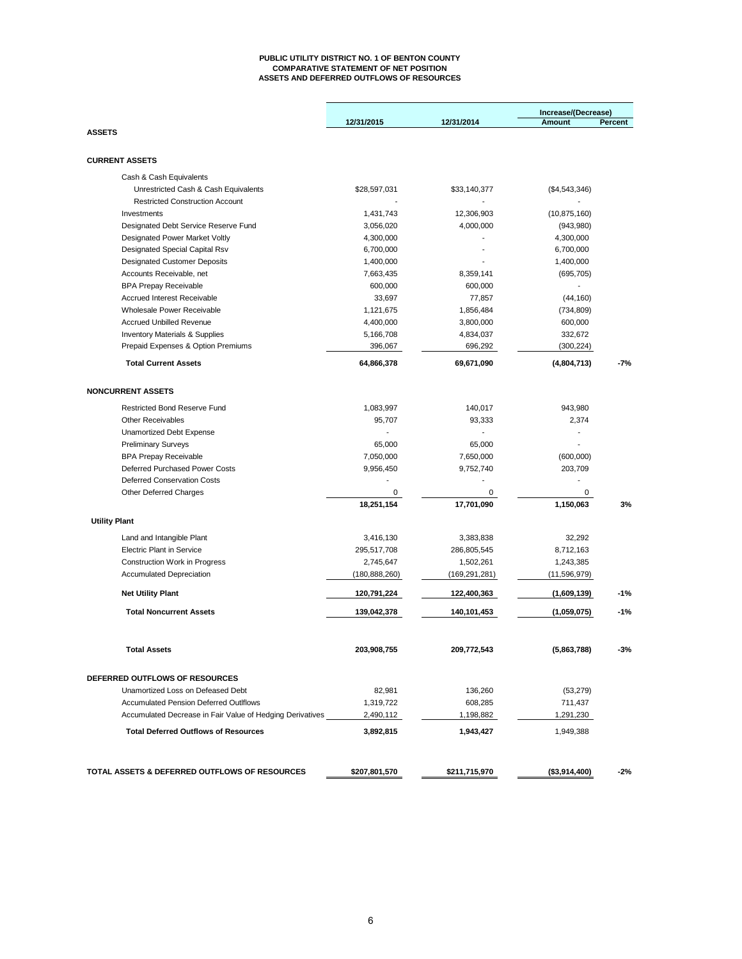#### **PUBLIC UTILITY DISTRICT NO. 1 OF BENTON COUNTY COMPARATIVE STATEMENT OF NET POSITION ASSETS AND DEFERRED OUTFLOWS OF RESOURCES**

|                                                                         |                              |                              | Increase/(Decrease)       |         |
|-------------------------------------------------------------------------|------------------------------|------------------------------|---------------------------|---------|
| <b>ASSETS</b>                                                           | 12/31/2015                   | 12/31/2014                   | Amount                    | Percent |
|                                                                         |                              |                              |                           |         |
| <b>CURRENT ASSETS</b>                                                   |                              |                              |                           |         |
| Cash & Cash Equivalents                                                 |                              |                              |                           |         |
| Unrestricted Cash & Cash Equivalents                                    | \$28,597,031                 | \$33,140,377                 | (\$4,543,346)             |         |
| <b>Restricted Construction Account</b>                                  |                              |                              |                           |         |
| Investments                                                             | 1,431,743                    | 12,306,903                   | (10, 875, 160)            |         |
| Designated Debt Service Reserve Fund                                    | 3,056,020                    | 4,000,000                    | (943,980)                 |         |
| <b>Designated Power Market Voltly</b>                                   | 4,300,000                    |                              | 4,300,000                 |         |
| Designated Special Capital Rsv                                          | 6,700,000                    |                              | 6,700,000                 |         |
| <b>Designated Customer Deposits</b>                                     | 1,400,000                    |                              | 1,400,000                 |         |
| Accounts Receivable, net                                                | 7,663,435                    | 8,359,141                    | (695, 705)                |         |
| <b>BPA Prepay Receivable</b>                                            | 600,000                      | 600,000                      |                           |         |
| <b>Accrued Interest Receivable</b>                                      | 33,697                       | 77,857                       | (44, 160)                 |         |
| Wholesale Power Receivable                                              | 1,121,675                    | 1,856,484                    | (734, 809)                |         |
| <b>Accrued Unbilled Revenue</b>                                         | 4,400,000                    | 3,800,000                    | 600,000                   |         |
| <b>Inventory Materials &amp; Supplies</b>                               | 5,166,708                    | 4,834,037                    | 332,672                   |         |
| Prepaid Expenses & Option Premiums                                      | 396,067                      | 696,292                      | (300, 224)                |         |
|                                                                         |                              |                              |                           |         |
| <b>Total Current Assets</b>                                             | 64,866,378                   | 69,671,090                   | (4,804,713)               | $-7%$   |
| <b>NONCURRENT ASSETS</b>                                                |                              |                              |                           |         |
| <b>Restricted Bond Reserve Fund</b>                                     | 1,083,997                    | 140,017                      | 943,980                   |         |
| <b>Other Receivables</b>                                                | 95,707                       | 93.333                       | 2,374                     |         |
| <b>Unamortized Debt Expense</b>                                         |                              |                              |                           |         |
| <b>Preliminary Surveys</b>                                              | 65,000                       | 65,000                       |                           |         |
| <b>BPA Prepay Receivable</b>                                            | 7,050,000                    | 7,650,000                    | (600,000)                 |         |
| Deferred Purchased Power Costs                                          | 9,956,450                    | 9,752,740                    | 203,709                   |         |
| <b>Deferred Conservation Costs</b>                                      |                              |                              |                           |         |
| Other Deferred Charges                                                  | 0                            | 0                            | 0                         |         |
|                                                                         | 18,251,154                   | 17,701,090                   | 1,150,063                 | 3%      |
| <b>Utility Plant</b>                                                    |                              |                              |                           |         |
|                                                                         |                              |                              |                           |         |
| Land and Intangible Plant<br><b>Electric Plant in Service</b>           | 3,416,130<br>295,517,708     | 3,383,838<br>286,805,545     | 32,292<br>8,712,163       |         |
|                                                                         |                              |                              |                           |         |
| <b>Construction Work in Progress</b><br><b>Accumulated Depreciation</b> | 2,745,647<br>(180, 888, 260) | 1,502,261<br>(169, 291, 281) | 1,243,385<br>(11,596,979) |         |
|                                                                         |                              |                              |                           |         |
| <b>Net Utility Plant</b>                                                | 120,791,224                  | 122,400,363                  | (1,609,139)               | $-1%$   |
| <b>Total Noncurrent Assets</b>                                          | 139,042,378                  | 140,101,453                  | (1,059,075)               | $-1%$   |
| <b>Total Assets</b>                                                     | 203,908,755                  | 209,772,543                  | (5,863,788)               | $-3%$   |
|                                                                         |                              |                              |                           |         |
| DEFERRED OUTFLOWS OF RESOURCES                                          |                              |                              |                           |         |
| Unamortized Loss on Defeased Debt                                       | 82,981                       | 136,260                      | (53, 279)                 |         |
| <b>Accumulated Pension Deferred Outlflows</b>                           | 1,319,722                    | 608,285                      | 711,437                   |         |
| Accumulated Decrease in Fair Value of Hedging Derivatives               | 2,490,112                    | 1,198,882                    | 1,291,230                 |         |
| <b>Total Deferred Outflows of Resources</b>                             | 3,892,815                    | 1,943,427                    | 1,949,388                 |         |
|                                                                         |                              |                              |                           |         |
| TOTAL ASSETS & DEFERRED OUTFLOWS OF RESOURCES                           | \$207,801,570                | \$211,715,970                | (\$3,914,400)             | $-2%$   |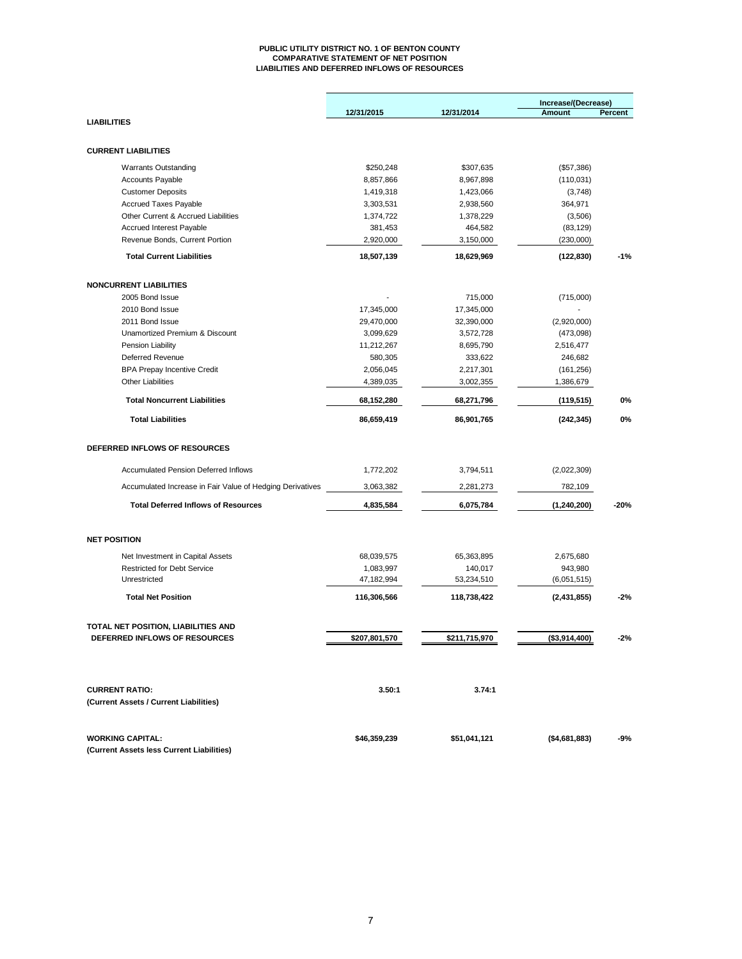#### **PUBLIC UTILITY DISTRICT NO. 1 OF BENTON COUNTY COMPARATIVE STATEMENT OF NET POSITION LIABILITIES AND DEFERRED INFLOWS OF RESOURCES**

|                                                                        | 12/31/2015              | 12/31/2014            | Increase/(Decrease)<br>Amount | Percent |  |
|------------------------------------------------------------------------|-------------------------|-----------------------|-------------------------------|---------|--|
| <b>LIABILITIES</b>                                                     |                         |                       |                               |         |  |
|                                                                        |                         |                       |                               |         |  |
| <b>CURRENT LIABILITIES</b>                                             |                         |                       |                               |         |  |
| <b>Warrants Outstanding</b>                                            | \$250,248               | \$307,635             | (\$57,386)                    |         |  |
| Accounts Payable                                                       | 8,857,866               | 8,967,898             | (110, 031)                    |         |  |
| <b>Customer Deposits</b>                                               | 1,419,318               | 1,423,066             | (3,748)                       |         |  |
| <b>Accrued Taxes Payable</b>                                           | 3,303,531               | 2,938,560             | 364,971                       |         |  |
| Other Current & Accrued Liabilities                                    | 1,374,722               | 1,378,229             | (3,506)                       |         |  |
| Accrued Interest Payable                                               | 381,453                 | 464,582               | (83, 129)                     |         |  |
| Revenue Bonds, Current Portion                                         | 2,920,000               | 3,150,000             | (230,000)                     |         |  |
| <b>Total Current Liabilities</b>                                       | 18,507,139              | 18,629,969            | (122, 830)                    | $-1%$   |  |
| <b>NONCURRENT LIABILITIES</b>                                          |                         |                       |                               |         |  |
| 2005 Bond Issue                                                        |                         | 715,000               | (715,000)                     |         |  |
| 2010 Bond Issue                                                        | 17,345,000              | 17,345,000            |                               |         |  |
| 2011 Bond Issue                                                        | 29,470,000              | 32,390,000            | (2,920,000)                   |         |  |
| Unamortized Premium & Discount                                         | 3,099,629               | 3,572,728             | (473,098)                     |         |  |
| Pension Liability                                                      | 11,212,267              | 8,695,790             | 2,516,477                     |         |  |
| Deferred Revenue                                                       | 580,305                 | 333,622               | 246,682                       |         |  |
| <b>BPA Prepay Incentive Credit</b>                                     | 2,056,045               | 2,217,301             | (161, 256)                    |         |  |
| <b>Other Liabilities</b>                                               | 4,389,035               | 3,002,355             | 1,386,679                     |         |  |
| <b>Total Noncurrent Liabilities</b>                                    | 68,152,280              | 68,271,796            | (119, 515)                    | 0%      |  |
| <b>Total Liabilities</b>                                               | 86,659,419              | 86,901,765            | (242, 345)                    | 0%      |  |
| DEFERRED INFLOWS OF RESOURCES                                          |                         |                       |                               |         |  |
| <b>Accumulated Pension Deferred Inflows</b>                            | 1,772,202               | 3,794,511             | (2,022,309)                   |         |  |
| Accumulated Increase in Fair Value of Hedging Derivatives              | 3,063,382               | 2,281,273             | 782,109                       |         |  |
| <b>Total Deferred Inflows of Resources</b>                             | 4,835,584               | 6,075,784             | (1,240,200)                   | $-20%$  |  |
| <b>NET POSITION</b>                                                    |                         |                       |                               |         |  |
|                                                                        |                         |                       |                               |         |  |
| Net Investment in Capital Assets<br><b>Restricted for Debt Service</b> | 68,039,575<br>1,083,997 | 65,363,895            | 2,675,680                     |         |  |
| Unrestricted                                                           | 47,182,994              | 140,017<br>53,234,510 | 943,980<br>(6,051,515)        |         |  |
| <b>Total Net Position</b>                                              | 116,306,566             | 118,738,422           | (2,431,855)                   | $-2%$   |  |
|                                                                        |                         |                       |                               |         |  |
| TOTAL NET POSITION, LIABILITIES AND                                    |                         |                       |                               |         |  |
| DEFERRED INFLOWS OF RESOURCES                                          | \$207,801,570           | \$211,715,970         | (\$3,914,400)                 | -2%     |  |
|                                                                        |                         |                       |                               |         |  |
| <b>CURRENT RATIO:</b>                                                  | 3.50:1                  | 3.74:1                |                               |         |  |
| (Current Assets / Current Liabilities)                                 |                         |                       |                               |         |  |
| <b>WORKING CAPITAL:</b>                                                | \$46,359,239            | \$51,041,121          | (\$4,681,883)                 | $-9%$   |  |
| (Current Assets less Current Liabilities)                              |                         |                       |                               |         |  |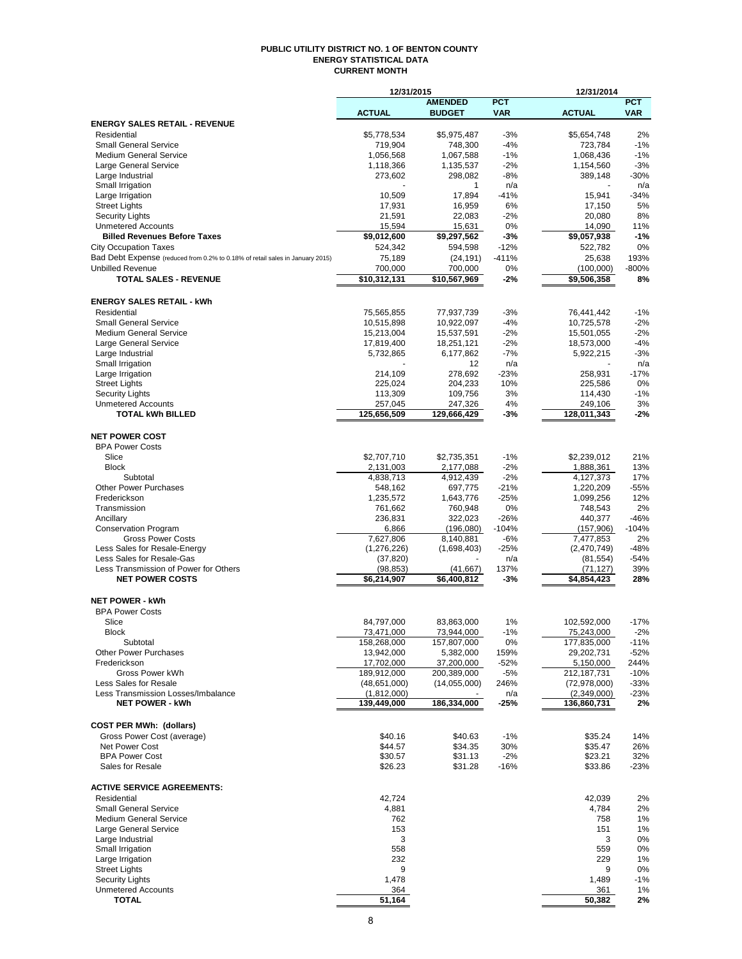#### **PUBLIC UTILITY DISTRICT NO. 1 OF BENTON COUNTY ENERGY STATISTICAL DATA CURRENT MONTH**

|                                                                               | 12/31/2015               |                      |                | 12/31/2014              |                 |
|-------------------------------------------------------------------------------|--------------------------|----------------------|----------------|-------------------------|-----------------|
|                                                                               |                          | <b>AMENDED</b>       | <b>PCT</b>     |                         | <b>PCT</b>      |
|                                                                               | <b>ACTUAL</b>            | <b>BUDGET</b>        | <b>VAR</b>     | <b>ACTUAL</b>           | <b>VAR</b>      |
| <b>ENERGY SALES RETAIL - REVENUE</b>                                          |                          |                      |                |                         |                 |
| Residential                                                                   | \$5,778,534              | \$5,975,487          | $-3%$          | \$5,654,748             | 2%              |
| <b>Small General Service</b>                                                  | 719,904                  | 748,300              | $-4%$          | 723,784                 | $-1%$           |
| <b>Medium General Service</b>                                                 | 1,056,568                | 1,067,588            | $-1%$          | 1,068,436               | $-1%$           |
| Large General Service                                                         | 1,118,366                | 1,135,537<br>298,082 | $-2%$<br>$-8%$ | 1,154,560               | $-3%$<br>$-30%$ |
| Large Industrial<br>Small Irrigation                                          | 273,602                  | $\mathbf{1}$         | n/a            | 389,148                 |                 |
| Large Irrigation                                                              | 10,509                   | 17,894               | $-41%$         | 15,941                  | n/a<br>$-34%$   |
| <b>Street Lights</b>                                                          | 17,931                   | 16,959               | 6%             | 17,150                  | 5%              |
| <b>Security Lights</b>                                                        | 21,591                   | 22,083               | $-2%$          | 20,080                  | 8%              |
| <b>Unmetered Accounts</b>                                                     | 15,594                   | 15,631               | 0%             | 14,090                  | 11%             |
| <b>Billed Revenues Before Taxes</b>                                           | \$9,012,600              | \$9,297,562          | $-3%$          | \$9,057,938             | $-1%$           |
| <b>City Occupation Taxes</b>                                                  | 524,342                  | 594,598              | $-12%$         | 522,782                 | 0%              |
| Bad Debt Expense (reduced from 0.2% to 0.18% of retail sales in January 2015) | 75,189                   | (24, 191)            | $-411%$        | 25,638                  | 193%            |
| <b>Unbilled Revenue</b>                                                       | 700,000                  | 700,000              | 0%             | (100,000)               | $-800%$         |
| <b>TOTAL SALES - REVENUE</b>                                                  | \$10,312,131             | \$10,567,969         | -2%            | $\overline{59,506,358}$ | 8%              |
|                                                                               |                          |                      |                |                         |                 |
|                                                                               |                          |                      |                |                         |                 |
| <b>ENERGY SALES RETAIL - kWh</b><br>Residential                               |                          |                      | $-3%$          |                         |                 |
| <b>Small General Service</b>                                                  | 75,565,855<br>10,515,898 | 77,937,739           | $-4%$          | 76,441,442              | $-1%$<br>$-2%$  |
| <b>Medium General Service</b>                                                 | 15,213,004               | 10,922,097           | $-2%$          | 10,725,578              | $-2%$           |
|                                                                               | 17,819,400               | 15,537,591           | $-2%$          | 15,501,055              | $-4%$           |
| Large General Service                                                         |                          | 18,251,121           |                | 18,573,000              |                 |
| Large Industrial<br>Small Irrigation                                          | 5,732,865                | 6,177,862<br>12      | $-7%$          | 5,922,215               | $-3%$           |
|                                                                               |                          |                      | n/a            |                         | n/a             |
| Large Irrigation                                                              | 214,109                  | 278,692              | $-23%$         | 258,931                 | $-17%$          |
| <b>Street Lights</b>                                                          | 225,024                  | 204,233              | 10%            | 225,586                 | 0%              |
| <b>Security Lights</b>                                                        | 113,309                  | 109,756              | 3%             | 114,430                 | $-1%$           |
| <b>Unmetered Accounts</b><br><b>TOTAL kWh BILLED</b>                          | 257,045                  | 247,326              | 4%             | 249,106                 | 3%              |
|                                                                               | 125,656,509              | 129,666,429          | -3%            | 128,011,343             | -2%             |
|                                                                               |                          |                      |                |                         |                 |
| <b>NET POWER COST</b>                                                         |                          |                      |                |                         |                 |
| <b>BPA Power Costs</b>                                                        |                          |                      |                |                         |                 |
| Slice                                                                         | \$2,707,710              | \$2,735,351          | $-1%$          | \$2,239,012             | 21%             |
| <b>Block</b>                                                                  | 2,131,003                | 2,177,088            | $-2%$          | 1,888,361               | 13%             |
| Subtotal                                                                      | 4,838,713                | 4,912,439            | $-2%$          | 4,127,373               | 17%             |
| <b>Other Power Purchases</b>                                                  | 548,162                  | 697,775              | $-21%$         | 1,220,209               | $-55%$          |
| Frederickson                                                                  | 1,235,572                | 1,643,776            | $-25%$         | 1,099,256               | 12%             |
| Transmission                                                                  | 761,662                  | 760,948              | 0%             | 748,543                 | 2%              |
| Ancillary                                                                     | 236,831                  | 322,023              | $-26%$         | 440,377                 | $-46%$          |
| <b>Conservation Program</b>                                                   | 6,866                    | (196,080)            | $-104%$        | (157,906)               | $-104%$         |
| <b>Gross Power Costs</b>                                                      | 7,627,806                | 8,140,881            | $-6%$          | 7,477,853               | 2%              |
| Less Sales for Resale-Energy                                                  | (1, 276, 226)            | (1,698,403)          | $-25%$         | (2,470,749)             | $-48%$          |
| Less Sales for Resale-Gas                                                     | (37, 820)                |                      | n/a            | (81, 554)               | $-54%$          |
| Less Transmission of Power for Others                                         | (98, 853)                | (41, 667)            | 137%           | (71, 127)               | 39%             |
| <b>NET POWER COSTS</b>                                                        | \$6,214,907              | \$6.400.812          | -3%            | \$4,854,423             | 28%             |
|                                                                               |                          |                      |                |                         |                 |
| <b>NET POWER - kWh</b>                                                        |                          |                      |                |                         |                 |
| <b>BPA Power Costs</b>                                                        |                          |                      |                |                         |                 |
| Slice                                                                         | 84,797,000               | 83,863,000           | 1%             | 102,592,000             | $-17%$          |
| Block                                                                         | 73,471,000               | 73,944,000           | $-1%$          | 75,243,000              | $-2%$           |
| Subtotal                                                                      | 158,268,000              | 157,807,000          | 0%             | 177,835,000             | $-11%$          |
| <b>Other Power Purchases</b>                                                  | 13,942,000               | 5,382,000            | 159%           | 29,202,731              | $-52%$          |
| Frederickson                                                                  | 17,702,000               | 37,200,000           | $-52%$         | 5,150,000               | 244%            |
| Gross Power kWh                                                               | 189,912,000              | 200,389,000          | -5%            | 212,187,731             | $-10%$          |
| Less Sales for Resale                                                         | (48, 651, 000)           | (14,055,000)         | 246%           | (72, 978, 000)          | $-33%$          |
| Less Transmission Losses/Imbalance<br><b>NET POWER - kWh</b>                  | (1,812,000)              |                      | n/a            | (2,349,000)             | $-23%$          |
|                                                                               | 139,449,000              | 186,334,000          | -25%           | 136,860,731             | 2%              |
|                                                                               |                          |                      |                |                         |                 |
| <b>COST PER MWh: (dollars)</b>                                                |                          |                      |                |                         |                 |
| Gross Power Cost (average)                                                    | \$40.16                  | \$40.63              | $-1%$          | \$35.24                 | 14%             |
| Net Power Cost                                                                | \$44.57                  | \$34.35              | 30%            | \$35.47                 | 26%             |
| <b>BPA Power Cost</b>                                                         | \$30.57                  | \$31.13              | $-2%$          | \$23.21                 | 32%             |
| Sales for Resale                                                              | \$26.23                  | \$31.28              | $-16%$         | \$33.86                 | $-23%$          |
|                                                                               |                          |                      |                |                         |                 |
| <b>ACTIVE SERVICE AGREEMENTS:</b>                                             |                          |                      |                |                         |                 |
| Residential                                                                   | 42,724                   |                      |                | 42,039                  | 2%              |
| <b>Small General Service</b>                                                  | 4,881                    |                      |                | 4,784                   | 2%              |
| <b>Medium General Service</b>                                                 | 762                      |                      |                | 758                     | 1%              |
| <b>Large General Service</b>                                                  | 153                      |                      |                | 151                     | 1%              |
| Large Industrial                                                              | 3                        |                      |                | 3                       | 0%              |
| Small Irrigation                                                              | 558                      |                      |                | 559                     | 0%              |
| Large Irrigation                                                              | 232                      |                      |                | 229                     | 1%              |
| <b>Street Lights</b>                                                          | 9                        |                      |                | 9                       | 0%              |
| <b>Security Lights</b>                                                        | 1,478                    |                      |                | 1,489                   | $-1%$           |
| <b>Unmetered Accounts</b>                                                     | 364                      |                      |                | 361                     | 1%              |
| <b>TOTAL</b>                                                                  | 51,164                   |                      |                | 50,382                  | 2%              |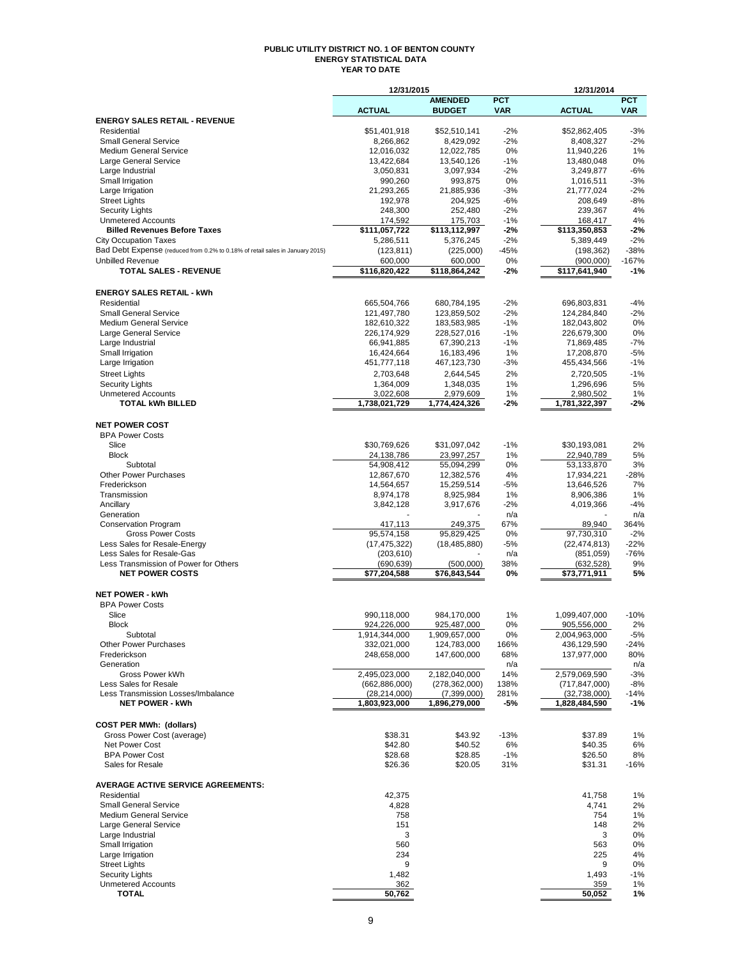#### **PUBLIC UTILITY DISTRICT NO. 1 OF BENTON COUNTY ENERGY STATISTICAL DATA YEAR TO DATE**

|                                                                               | 12/31/2015                 |                                 | 12/31/2014               |                            |                          |  |  |
|-------------------------------------------------------------------------------|----------------------------|---------------------------------|--------------------------|----------------------------|--------------------------|--|--|
|                                                                               | <b>ACTUAL</b>              | <b>AMENDED</b><br><b>BUDGET</b> | <b>PCT</b><br><b>VAR</b> | <b>ACTUAL</b>              | <b>PCT</b><br><b>VAR</b> |  |  |
| <b>ENERGY SALES RETAIL - REVENUE</b>                                          |                            |                                 |                          |                            |                          |  |  |
| Residential                                                                   | \$51.401.918               | \$52,510,141                    | $-2%$                    | \$52,862,405               | $-3%$                    |  |  |
| <b>Small General Service</b><br><b>Medium General Service</b>                 | 8,266,862<br>12,016,032    | 8,429,092<br>12,022,785         | $-2%$<br>0%              | 8,408,327<br>11,940,226    | $-2%$<br>1%              |  |  |
| Large General Service                                                         | 13,422,684                 | 13,540,126                      | $-1%$                    | 13,480,048                 | 0%                       |  |  |
| Large Industrial                                                              | 3,050,831                  | 3,097,934                       | $-2%$                    | 3,249,877                  | $-6%$                    |  |  |
| Small Irrigation                                                              | 990,260                    | 993,875                         | 0%                       | 1,016,511                  | $-3%$                    |  |  |
| Large Irrigation                                                              | 21,293,265                 | 21,885,936                      | $-3%$                    | 21,777,024                 | -2%                      |  |  |
| <b>Street Lights</b><br><b>Security Lights</b>                                | 192,978<br>248,300         | 204,925<br>252,480              | $-6%$<br>$-2%$           | 208,649<br>239,367         | $-8%$<br>4%              |  |  |
| <b>Unmetered Accounts</b>                                                     | 174,592                    | 175,703                         | $-1%$                    | 168,417                    | 4%                       |  |  |
| <b>Billed Revenues Before Taxes</b>                                           | $\overline{111,057,722}$   | \$113,112,997                   | $-2%$                    | \$113,350,853              | $-2%$                    |  |  |
| <b>City Occupation Taxes</b>                                                  | 5,286,511                  | 5,376,245                       | $-2%$                    | 5,389,449                  | $-2%$                    |  |  |
| Bad Debt Expense (reduced from 0.2% to 0.18% of retail sales in January 2015) | (123, 811)                 | (225,000)                       | $-45%$                   | (198, 362)                 | $-38%$                   |  |  |
| <b>Unbilled Revenue</b>                                                       | 600.000                    | 600,000                         | 0%                       | (900,000)                  | $-167%$                  |  |  |
| <b>TOTAL SALES - REVENUE</b>                                                  | \$116,820,422              | \$118,864,242                   | $-2%$                    | \$117,641,940              | $-1%$                    |  |  |
| <b>ENERGY SALES RETAIL - kWh</b>                                              |                            |                                 |                          |                            |                          |  |  |
| Residential                                                                   | 665,504,766                | 680,784,195                     | $-2%$                    | 696,803,831                | $-4%$                    |  |  |
| <b>Small General Service</b>                                                  | 121,497,780                | 123,859,502                     | $-2%$                    | 124,284,840                | $-2%$                    |  |  |
| <b>Medium General Service</b>                                                 | 182,610,322                | 183,583,985                     | $-1%$                    | 182,043,802                | 0%                       |  |  |
| Large General Service                                                         | 226,174,929                | 228,527,016                     | $-1%$                    | 226,679,300                | 0%                       |  |  |
| Large Industrial                                                              | 66,941,885                 | 67,390,213                      | $-1%$                    | 71,869,485                 | $-7%$                    |  |  |
| Small Irrigation<br>Large Irrigation                                          | 16,424,664<br>451,777,118  | 16,183,496<br>467,123,730       | 1%<br>$-3%$              | 17,208,870<br>455,434,566  | $-5%$<br>$-1%$           |  |  |
| <b>Street Lights</b>                                                          | 2,703,648                  | 2,644,545                       | 2%                       | 2,720,505                  | $-1%$                    |  |  |
| <b>Security Lights</b>                                                        | 1,364,009                  | 1,348,035                       | 1%                       | 1,296,696                  | 5%                       |  |  |
| <b>Unmetered Accounts</b>                                                     | 3,022,608                  | 2,979,609                       | 1%                       | 2,980,502                  | 1%                       |  |  |
| <b>TOTAL kWh BILLED</b>                                                       | 1,738,021,729              | 1,774,424,326                   | -2%                      | 1,781,322,397              | $-2%$                    |  |  |
|                                                                               |                            |                                 |                          |                            |                          |  |  |
| <b>NET POWER COST</b>                                                         |                            |                                 |                          |                            |                          |  |  |
| <b>BPA Power Costs</b><br>Slice                                               | \$30,769,626               | \$31,097,042                    | $-1%$                    | \$30,193,081               | 2%                       |  |  |
| <b>Block</b>                                                                  | 24,138,786                 | 23,997,257                      | 1%                       | 22,940,789                 | 5%                       |  |  |
| Subtotal                                                                      | 54,908,412                 | 55,094,299                      | 0%                       | 53,133,870                 | 3%                       |  |  |
| <b>Other Power Purchases</b>                                                  | 12,867,670                 | 12,382,576                      | 4%                       | 17,934,221                 | $-28%$                   |  |  |
| Frederickson                                                                  | 14,564,657                 | 15,259,514                      | -5%                      | 13,646,526                 | 7%                       |  |  |
| Transmission                                                                  | 8,974,178                  | 8,925,984                       | 1%                       | 8,906,386                  | 1%                       |  |  |
| Ancillary                                                                     | 3,842,128                  | 3,917,676                       | $-2%$                    | 4,019,366                  | $-4%$                    |  |  |
| Generation<br><b>Conservation Program</b>                                     | 417,113                    | 249,375                         | n/a<br>67%               | 89,940                     | n/a<br>364%              |  |  |
| <b>Gross Power Costs</b>                                                      | 95,574,158                 | 95,829,425                      | 0%                       | 97,730,310                 | $-2%$                    |  |  |
| Less Sales for Resale-Energy                                                  | (17, 475, 322)             | (18, 485, 880)                  | $-5%$                    | (22, 474, 813)             | $-22%$                   |  |  |
| Less Sales for Resale-Gas                                                     | (203, 610)                 |                                 | n/a                      | (851,059)                  | $-76%$                   |  |  |
| Less Transmission of Power for Others<br><b>NET POWER COSTS</b>               | (690, 639)                 | (500,000)                       | 38%                      | (632, 528)                 | 9%                       |  |  |
|                                                                               | \$77,204,588               | \$76,843,544                    | 0%                       | \$73,771,911               | 5%                       |  |  |
| <b>NET POWER - kWh</b>                                                        |                            |                                 |                          |                            |                          |  |  |
| <b>BPA Power Costs</b>                                                        |                            |                                 |                          |                            |                          |  |  |
| Slice                                                                         | 990,118,000                | 984,170,000                     | 1%                       | 1,099,407,000              | $-10%$                   |  |  |
| <b>Block</b>                                                                  | 924,226,000                | 925,487,000                     | 0%                       | 905,556,000                | 2%                       |  |  |
| Subtotal                                                                      | 1,914,344,000              | 1,909,657,000                   | 0%                       | 2,004,963,000              | $-5%$                    |  |  |
| <b>Other Power Purchases</b><br>Frederickson                                  | 332,021,000<br>248,658,000 | 124,783,000<br>147,600,000      | 166%<br>68%              | 436,129,590<br>137,977,000 | $-24%$<br>80%            |  |  |
| Generation                                                                    |                            |                                 | n/a                      |                            | n/a                      |  |  |
| Gross Power kWh                                                               | 2,495,023,000              | 2,182,040,000                   | 14%                      | 2,579,069,590              | $-3%$                    |  |  |
| Less Sales for Resale                                                         | (662, 886, 000)            | (278, 362, 000)                 | 138%                     | (717, 847, 000)            | -8%                      |  |  |
| Less Transmission Losses/Imbalance                                            | (28, 214, 000)             | (7,399,000)                     | 281%                     | (32,738,000)               | $-14%$                   |  |  |
| <b>NET POWER - kWh</b>                                                        | 1,803,923,000              | 1,896,279,000                   | -5%                      | 1,828,484,590              | $-1%$                    |  |  |
| <b>COST PER MWh: (dollars)</b>                                                |                            |                                 |                          |                            |                          |  |  |
| Gross Power Cost (average)                                                    | \$38.31                    | \$43.92                         | $-13%$                   | \$37.89                    | 1%                       |  |  |
| <b>Net Power Cost</b>                                                         | \$42.80                    | \$40.52                         | 6%                       | \$40.35                    | 6%                       |  |  |
| <b>BPA Power Cost</b>                                                         | \$28.68                    | \$28.85                         | $-1%$                    | \$26.50                    | 8%                       |  |  |
| Sales for Resale                                                              | \$26.36                    | \$20.05                         | 31%                      | \$31.31                    | $-16%$                   |  |  |
| <b>AVERAGE ACTIVE SERVICE AGREEMENTS:</b>                                     |                            |                                 |                          |                            |                          |  |  |
| Residential                                                                   | 42,375                     |                                 |                          | 41,758                     | 1%                       |  |  |
| <b>Small General Service</b>                                                  | 4,828                      |                                 |                          | 4,741                      | 2%                       |  |  |
| <b>Medium General Service</b>                                                 | 758<br>151                 |                                 |                          | 754<br>148                 | 1%<br>2%                 |  |  |
| Large General Service<br>Large Industrial                                     | 3                          |                                 |                          | 3                          | 0%                       |  |  |
| Small Irrigation                                                              | 560                        |                                 |                          | 563                        | 0%                       |  |  |
| Large Irrigation                                                              | 234                        |                                 |                          | 225                        | 4%                       |  |  |
| <b>Street Lights</b>                                                          | 9                          |                                 |                          | 9                          | 0%                       |  |  |
| <b>Security Lights</b>                                                        | 1,482                      |                                 |                          | 1,493                      | $-1%$                    |  |  |
| <b>Unmetered Accounts</b><br><b>TOTAL</b>                                     | 362<br>50,762              |                                 |                          | 359                        | 1%                       |  |  |
|                                                                               |                            |                                 |                          | 50,052                     | 1%                       |  |  |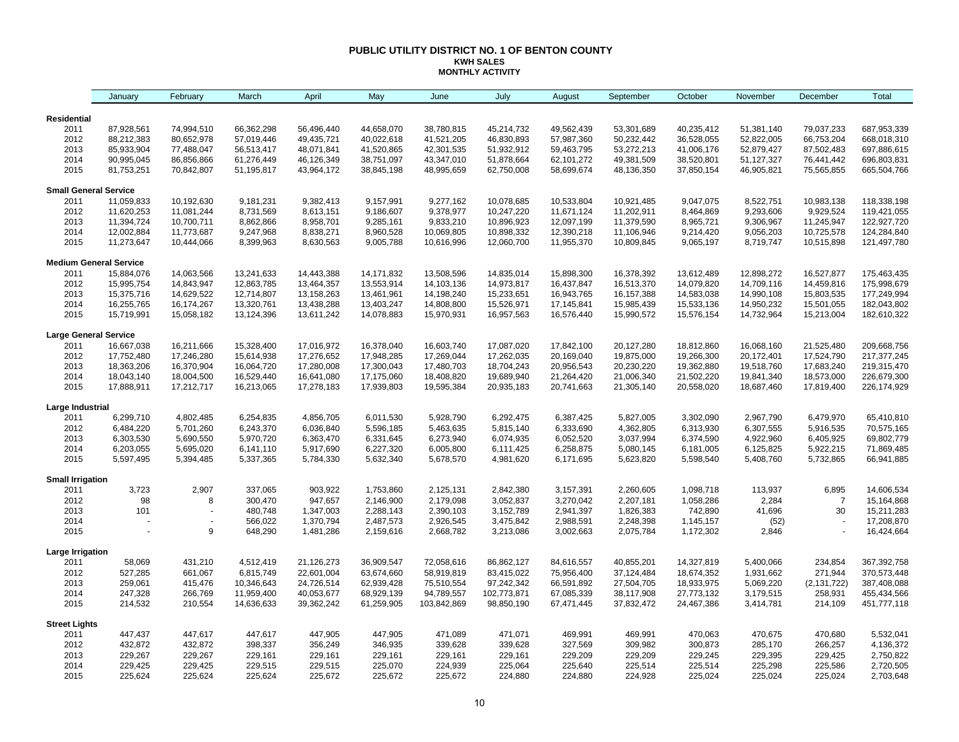### **PUBLIC UTILITY DISTRICT NO. 1 OF BENTON COUNTY KWH SALES MONTHLY ACTIVITY**

|                               | January                  | February                 | March                    | April                    | May                      | June                     | July                     | August                   | September                | October                  | November                 | December                 | Total                      |
|-------------------------------|--------------------------|--------------------------|--------------------------|--------------------------|--------------------------|--------------------------|--------------------------|--------------------------|--------------------------|--------------------------|--------------------------|--------------------------|----------------------------|
| Residential                   |                          |                          |                          |                          |                          |                          |                          |                          |                          |                          |                          |                          |                            |
| 2011                          | 87,928,561               | 74,994,510               | 66,362,298               | 56,496,440               | 44,658,070               | 38,780,815               | 45,214,732               | 49,562,439               | 53,301,689               | 40,235,412               | 51,381,140               | 79,037,233               | 687,953,339                |
| 2012                          | 88,212,383               | 80,652,978               | 57,019,446               | 49,435,721               | 40,022,618               | 41,521,205               | 46,830,893               | 57,987,360               | 50,232,442               | 36,528,055               | 52,822,005               | 66,753,204               | 668,018,310                |
| 2013                          | 85,933,904               | 77,488,047               | 56,513,417               | 48,071,841               | 41,520,865               | 42,301,535               | 51,932,912               | 59,463,795               | 53,272,213               | 41,006,176               | 52,879,427               | 87,502,483               | 697,886,615                |
| 2014                          | 90,995,045               | 86,856,866               | 61,276,449               | 46,126,349               | 38,751,097               | 43,347,010               | 51,878,664               | 62,101,272               | 49,381,509               | 38,520,801               | 51,127,327               | 76,441,442               | 696,803,831                |
| 2015                          | 81,753,251               | 70,842,807               | 51,195,817               | 43,964,172               | 38,845,198               | 48,995,659               | 62,750,008               | 58,699,674               | 48,136,350               | 37,850,154               | 46,905,821               | 75,565,855               | 665,504,766                |
| <b>Small General Service</b>  |                          |                          |                          |                          |                          |                          |                          |                          |                          |                          |                          |                          |                            |
| 2011                          | 11,059,833               | 10,192,630               | 9,181,231                | 9,382,413                | 9,157,991                | 9,277,162                | 10,078,685               | 10,533,804               | 10,921,485               | 9,047,075                | 8,522,751                | 10,983,138               | 118,338,198                |
| 2012                          | 11,620,253               | 11,081,244               | 8,731,569                | 8,613,151                | 9,186,607                | 9,378,977                | 10,247,220               | 11,671,124               | 11,202,911               | 8,464,869                | 9,293,606                | 9,929,524                | 119,421,055                |
| 2013                          | 11,394,724               | 10,700,711               | 8,862,866                | 8,958,701                | 9,285,161                | 9,833,210                | 10,896,923               | 12,097,199               | 11,379,590               | 8,965,721                | 9,306,967                | 11,245,947               | 122,927,720                |
| 2014                          | 12,002,884               | 11,773,687               | 9,247,968                | 8,838,271                | 8,960,528                | 10,069,805               | 10,898,332               | 12,390,218               | 11,106,946               | 9,214,420                | 9,056,203                | 10,725,578               | 124,284,840                |
| 2015                          | 11,273,647               | 10,444,066               | 8,399,963                | 8,630,563                | 9,005,788                | 10,616,996               | 12,060,700               | 11,955,370               | 10,809,845               | 9,065,197                | 8,719,747                | 10,515,898               | 121,497,780                |
| <b>Medium General Service</b> |                          |                          |                          |                          |                          |                          |                          |                          |                          |                          |                          |                          |                            |
| 2011                          | 15,884,076               | 14,063,566               | 13,241,633               | 14,443,388               | 14,171,832               | 13,508,596               | 14,835,014               | 15,898,300               | 16,378,392               | 13,612,489               | 12,898,272               | 16,527,877               | 175,463,435                |
| 2012                          | 15,995,754               | 14,843,947               | 12,863,785               | 13,464,357               | 13,553,914               | 14,103,136               | 14,973,817               | 16,437,847               | 16,513,370               | 14,079,820               | 14,709,116               | 14,459,816               | 175,998,679                |
| 2013                          | 15,375,716               | 14,629,522               | 12,714,807               | 13,158,263               | 13,461,961               | 14,198,240               | 15,233,651               | 16,943,765               | 16,157,388               | 14,583,038               | 14,990,108               | 15,803,535               | 177,249,994                |
| 2014<br>2015                  | 16,255,765<br>15,719,991 | 16,174,267<br>15,058,182 | 13,320,761<br>13,124,396 | 13,438,288<br>13,611,242 | 13,403,247<br>14,078,883 | 14,808,800<br>15,970,931 | 15,526,971<br>16,957,563 | 17,145,841<br>16,576,440 | 15,985,439<br>15,990,572 | 15,533,136<br>15,576,154 | 14,950,232<br>14,732,964 | 15,501,055<br>15,213,004 | 182,043,802<br>182,610,322 |
| <b>Large General Service</b>  |                          |                          |                          |                          |                          |                          |                          |                          |                          |                          |                          |                          |                            |
| 2011                          | 16,667,038               | 16,211,666               | 15,328,400               | 17,016,972               | 16,378,040               | 16,603,740               | 17,087,020               | 17,842,100               | 20,127,280               | 18,812,860               | 16,068,160               | 21,525,480               | 209,668,756                |
| 2012                          | 17,752,480               | 17,246,280               | 15,614,938               | 17,276,652               | 17,948,285               | 17,269,044               | 17,262,035               | 20,169,040               | 19,875,000               | 19,266,300               | 20,172,401               | 17,524,790               | 217, 377, 245              |
| 2013                          | 18,363,206               | 16,370,904               | 16,064,720               | 17,280,008               | 17,300,043               | 17,480,703               | 18,704,243               | 20,956,543               | 20,230,220               | 19,362,880               | 19,518,760               | 17,683,240               | 219,315,470                |
| 2014                          | 18,043,140               | 18,004,500               | 16,529,440               | 16,641,080               | 17,175,060               | 18,408,820               | 19,689,940               | 21,264,420               | 21,006,340               | 21,502,220               | 19,841,340               | 18,573,000               | 226,679,300                |
| 2015                          | 17,888,911               | 17,212,717               | 16,213,065               | 17,278,183               | 17,939,803               | 19,595,384               | 20,935,183               | 20,741,663               | 21,305,140               | 20,558,020               | 18,687,460               | 17,819,400               | 226, 174, 929              |
| Large Industrial              |                          |                          |                          |                          |                          |                          |                          |                          |                          |                          |                          |                          |                            |
| 2011                          | 6,299,710                | 4,802,485                | 6,254,835                | 4,856,705                | 6,011,530                | 5,928,790                | 6,292,475                | 6,387,425                | 5,827,005                | 3,302,090                | 2,967,790                | 6,479,970                | 65,410,810                 |
| 2012                          | 6,484,220                | 5,701,260                | 6,243,370                | 6,036,840                | 5,596,185                | 5,463,635                | 5,815,140                | 6,333,690                | 4,362,805                | 6,313,930                | 6,307,555                | 5,916,535                | 70,575,165                 |
| 2013                          | 6,303,530                | 5,690,550                | 5,970,720                | 6,363,470                | 6,331,645                | 6,273,940                | 6,074,935                | 6,052,520                | 3,037,994                | 6,374,590                | 4,922,960                | 6,405,925                | 69,802,779                 |
| 2014                          | 6,203,055                | 5,695,020                | 6,141,110                | 5,917,690                | 6,227,320                | 6,005,800                | 6,111,425                | 6,258,875                | 5,080,145                | 6,181,005                | 6,125,825                | 5,922,215                | 71,869,485                 |
| 2015                          | 5,597,495                | 5,394,485                | 5,337,365                | 5,784,330                | 5,632,340                | 5,678,570                | 4,981,620                | 6,171,695                | 5,623,820                | 5,598,540                | 5,408,760                | 5,732,865                | 66,941,885                 |
| <b>Small Irrigation</b>       |                          |                          |                          |                          |                          |                          |                          |                          |                          |                          |                          |                          |                            |
| 2011                          | 3,723                    | 2,907                    | 337,065                  | 903,922                  | 1,753,860                | 2,125,131                | 2,842,380                | 3,157,391                | 2,260,605                | 1,098,718                | 113,937                  | 6,895                    | 14,606,534                 |
| 2012                          | 98                       | 8                        | 300,470                  | 947,657                  | 2,146,900                | 2,179,098                | 3,052,837                | 3,270,042                | 2,207,181                | 1,058,286                | 2,284                    | $\overline{7}$           | 15,164,868                 |
| 2013                          | 101                      |                          | 480,748                  | 1,347,003                | 2,288,143                | 2,390,103                | 3,152,789                | 2,941,397                | 1,826,383                | 742,890                  | 41,696                   | 30                       | 15,211,283                 |
| 2014<br>2015                  |                          | 9                        | 566,022<br>648,290       | 1,370,794<br>1,481,286   | 2,487,573<br>2,159,616   | 2,926,545<br>2,668,782   | 3,475,842<br>3,213,086   | 2,988,591<br>3,002,663   | 2,248,398<br>2,075,784   | 1,145,157<br>1,172,302   | (52)<br>2,846            |                          | 17,208,870<br>16,424,664   |
|                               |                          |                          |                          |                          |                          |                          |                          |                          |                          |                          |                          |                          |                            |
| Large Irrigation              | 58,069                   | 431,210                  | 4,512,419                | 21,126,273               | 36,909,547               | 72,058,616               | 86,862,127               |                          | 40,855,201               | 14,327,819               |                          |                          | 367,392,758                |
| 2011<br>2012                  | 527,285                  | 661,067                  | 6,815,749                | 22,601,004               | 63,674,660               | 58,919,819               | 83,415,022               | 84,616,557<br>75,956,400 | 37,124,484               | 18,674,352               | 5,400,066<br>1,931,662   | 234,854<br>271,944       | 370,573,448                |
| 2013                          | 259,061                  | 415,476                  | 10,346,643               | 24,726,514               | 62,939,428               | 75,510,554               | 97,242,342               | 66,591,892               | 27,504,705               | 18,933,975               | 5,069,220                | (2, 131, 722)            | 387,408,088                |
| 2014                          | 247,328                  | 266,769                  | 11,959,400               | 40,053,677               | 68,929,139               | 94,789,557               | 102,773,871              | 67,085,339               | 38,117,908               | 27,773,132               | 3,179,515                | 258,931                  | 455,434,566                |
| 2015                          | 214,532                  | 210,554                  | 14,636,633               | 39,362,242               | 61,259,905               | 103,842,869              | 98,850,190               | 67,471,445               | 37,832,472               | 24,467,386               | 3,414,781                | 214,109                  | 451,777,118                |
| <b>Street Lights</b>          |                          |                          |                          |                          |                          |                          |                          |                          |                          |                          |                          |                          |                            |
| 2011                          | 447,437                  | 447,617                  | 447,617                  | 447,905                  | 447,905                  | 471,089                  | 471,071                  | 469,991                  | 469,991                  | 470,063                  | 470,675                  | 470,680                  | 5,532,041                  |
| 2012                          | 432,872                  | 432,872                  | 398,337                  | 356,249                  | 346,935                  | 339,628                  | 339,628                  | 327,569                  | 309,982                  | 300,873                  | 285,170                  | 266,257                  | 4,136,372                  |
| 2013                          | 229,267                  | 229,267                  | 229,161                  | 229,161                  | 229,161                  | 229,161                  | 229,161                  | 229,209                  | 229,209                  | 229,245                  | 229,395                  | 229,425                  | 2,750,822                  |
| 2014                          | 229,425                  | 229,425                  | 229,515                  | 229,515                  | 225,070                  | 224,939                  | 225,064                  | 225,640                  | 225,514                  | 225,514                  | 225,298                  | 225,586                  | 2,720,505                  |
| 2015                          | 225,624                  | 225,624                  | 225,624                  | 225,672                  | 225,672                  | 225,672                  | 224,880                  | 224,880                  | 224,928                  | 225,024                  | 225,024                  | 225,024                  | 2,703,648                  |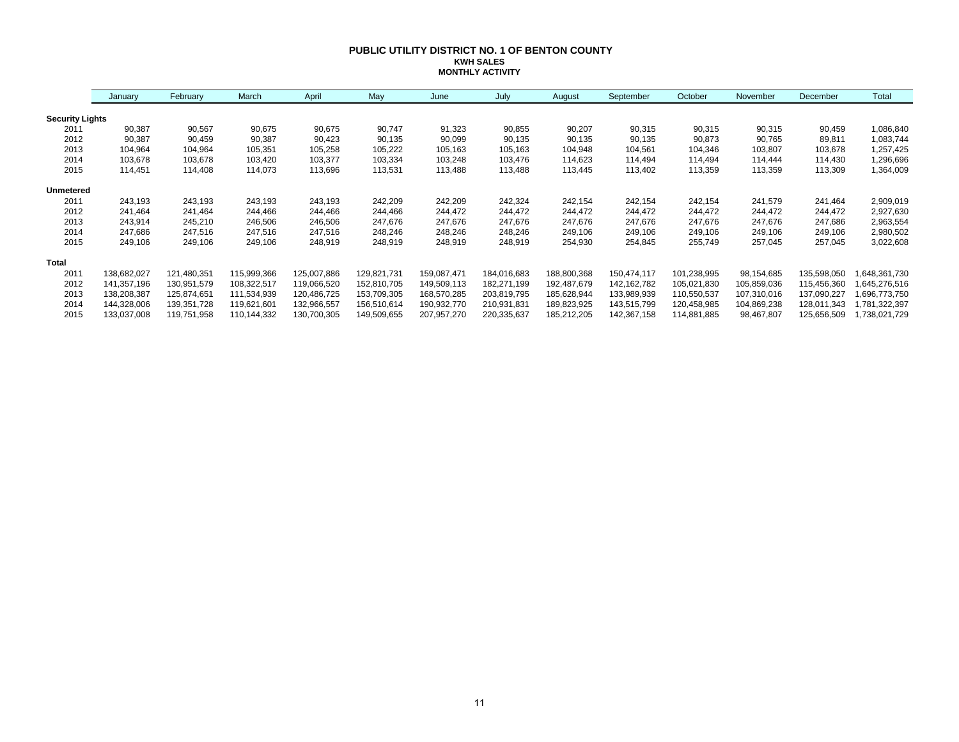### **PUBLIC UTILITY DISTRICT NO. 1 OF BENTON COUNTY KWH SALES MONTHLY ACTIVITY**

|                        | January     | February    | March       | April       | May         | June        | July        | August      | September     | October     | November    | December    | Total         |
|------------------------|-------------|-------------|-------------|-------------|-------------|-------------|-------------|-------------|---------------|-------------|-------------|-------------|---------------|
| <b>Security Lights</b> |             |             |             |             |             |             |             |             |               |             |             |             |               |
| 2011                   | 90,387      | 90,567      | 90,675      | 90,675      | 90,747      | 91,323      | 90,855      | 90,207      | 90,315        | 90,315      | 90,315      | 90,459      | 1,086,840     |
| 2012                   | 90,387      | 90,459      | 90,387      | 90,423      | 90,135      | 90,099      | 90,135      | 90,135      | 90,135        | 90,873      | 90,765      | 89,811      | 1,083,744     |
| 2013                   | 104,964     | 104,964     | 105,351     | 105,258     | 105,222     | 105,163     | 105,163     | 104,948     | 104,561       | 104,346     | 103,807     | 103,678     | 1,257,425     |
| 2014                   | 103,678     | 103,678     | 103,420     | 103,377     | 103,334     | 103,248     | 103,476     | 114,623     | 114,494       | 114,494     | 114,444     | 114,430     | 1,296,696     |
| 2015                   | 114,451     | 114,408     | 114,073     | 113,696     | 113,531     | 113,488     | 113,488     | 113,445     | 113,402       | 113,359     | 113,359     | 113,309     | 1,364,009     |
| <b>Unmetered</b>       |             |             |             |             |             |             |             |             |               |             |             |             |               |
| 2011                   | 243,193     | 243,193     | 243,193     | 243,193     | 242,209     | 242,209     | 242,324     | 242,154     | 242,154       | 242,154     | 241,579     | 241,464     | 2,909,019     |
| 2012                   | 241,464     | 241,464     | 244,466     | 244,466     | 244,466     | 244,472     | 244,472     | 244,472     | 244,472       | 244,472     | 244,472     | 244,472     | 2,927,630     |
| 2013                   | 243,914     | 245,210     | 246,506     | 246,506     | 247,676     | 247,676     | 247,676     | 247,676     | 247,676       | 247,676     | 247,676     | 247,686     | 2,963,554     |
| 2014                   | 247,686     | 247,516     | 247,516     | 247,516     | 248,246     | 248,246     | 248,246     | 249,106     | 249,106       | 249,106     | 249,106     | 249,106     | 2,980,502     |
| 2015                   | 249,106     | 249,106     | 249,106     | 248,919     | 248,919     | 248,919     | 248,919     | 254,930     | 254,845       | 255,749     | 257,045     | 257,045     | 3,022,608     |
| Total                  |             |             |             |             |             |             |             |             |               |             |             |             |               |
| 2011                   | 138,682,027 | 121,480,351 | 115,999,366 | 125,007,886 | 129,821,731 | 159,087,471 | 184,016,683 | 188,800,368 | 150,474,117   | 101,238,995 | 98,154,685  | 135,598,050 | 648,361,730   |
| 2012                   | 141,357,196 | 130,951,579 | 108,322,517 | 119,066,520 | 152,810,705 | 149,509,113 | 182,271,199 | 192,487,679 | 142, 162, 782 | 105,021,830 | 105,859,036 | 115,456,360 | 645,276,516,ا |
| 2013                   | 138,208,387 | 125,874,651 | 111,534,939 | 120,486,725 | 153,709,305 | 168,570,285 | 203,819,795 | 185,628,944 | 133,989,939   | 110,550,537 | 107,310,016 | 137,090,227 | 696,773,750,  |
| 2014                   | 144,328,006 | 139,351,728 | 119,621,601 | 132,966,557 | 156,510,614 | 190,932,770 | 210,931,831 | 189,823,925 | 143,515,799   | 120,458,985 | 104,869,238 | 128,011,343 | ,781,322,397  |
| 2015                   | 133,037,008 | 119,751,958 | 110,144,332 | 130,700,305 | 149,509,655 | 207,957,270 | 220,335,637 | 185,212,205 | 142,367,158   | 114,881,885 | 98,467,807  | 125,656,509 | ,738,021,729  |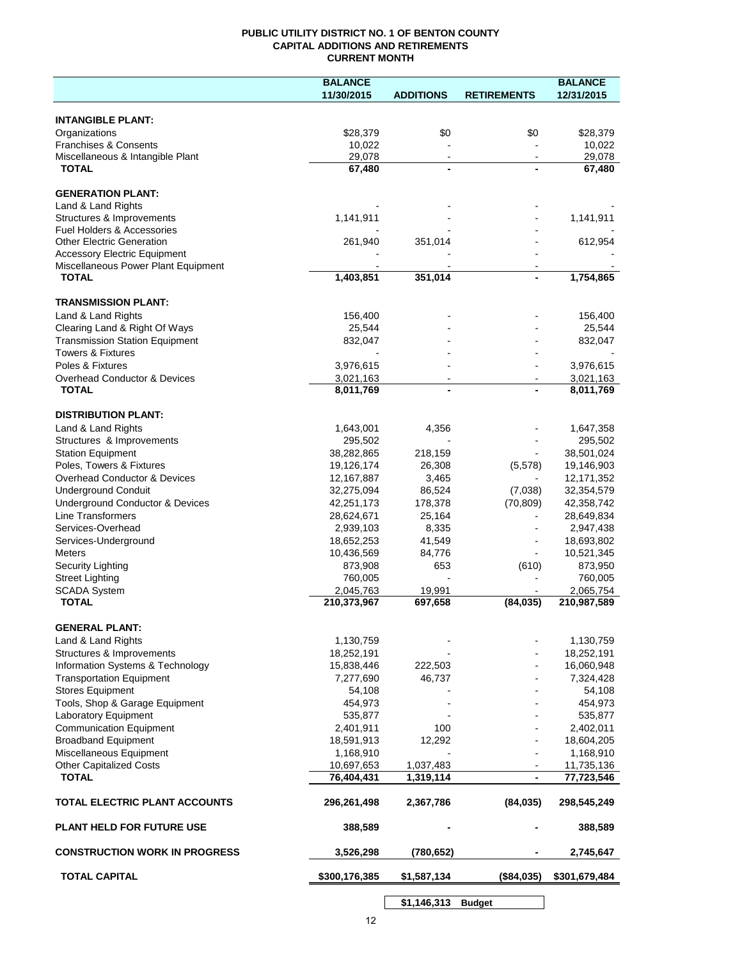## **PUBLIC UTILITY DISTRICT NO. 1 OF BENTON COUNTY CAPITAL ADDITIONS AND RETIREMENTS CURRENT MONTH**

|                                                     | <b>BALANCE</b>          |                  |                    | <b>BALANCE</b>           |
|-----------------------------------------------------|-------------------------|------------------|--------------------|--------------------------|
|                                                     | 11/30/2015              | <b>ADDITIONS</b> | <b>RETIREMENTS</b> | 12/31/2015               |
|                                                     |                         |                  |                    |                          |
| <b>INTANGIBLE PLANT:</b>                            |                         |                  |                    |                          |
| Organizations<br><b>Franchises &amp; Consents</b>   | \$28,379<br>10,022      | \$0              | \$0                | \$28,379<br>10,022       |
| Miscellaneous & Intangible Plant                    | 29,078                  |                  |                    | 29,078                   |
| <b>TOTAL</b>                                        | 67,480                  |                  |                    | 67,480                   |
|                                                     |                         |                  |                    |                          |
| <b>GENERATION PLANT:</b>                            |                         |                  |                    |                          |
| Land & Land Rights                                  |                         |                  |                    |                          |
| Structures & Improvements                           | 1,141,911               |                  |                    | 1,141,911                |
| Fuel Holders & Accessories                          |                         |                  |                    |                          |
| <b>Other Electric Generation</b>                    | 261,940                 | 351,014          |                    | 612,954                  |
| <b>Accessory Electric Equipment</b>                 |                         |                  |                    |                          |
| Miscellaneous Power Plant Equipment<br><b>TOTAL</b> | 1,403,851               | 351,014          |                    | 1,754,865                |
|                                                     |                         |                  |                    |                          |
| <b>TRANSMISSION PLANT:</b>                          |                         |                  |                    |                          |
| Land & Land Rights                                  | 156,400                 |                  |                    | 156,400                  |
| Clearing Land & Right Of Ways                       | 25,544                  |                  |                    | 25,544                   |
| <b>Transmission Station Equipment</b>               | 832,047                 |                  |                    | 832,047                  |
| <b>Towers &amp; Fixtures</b>                        |                         |                  |                    |                          |
| Poles & Fixtures                                    | 3,976,615               |                  |                    | 3,976,615                |
| Overhead Conductor & Devices                        | 3,021,163               |                  |                    | 3,021,163                |
| <b>TOTAL</b>                                        | 8,011,769               |                  |                    | 8,011,769                |
|                                                     |                         |                  |                    |                          |
| <b>DISTRIBUTION PLANT:</b>                          |                         |                  |                    |                          |
| Land & Land Rights                                  | 1,643,001               | 4,356            |                    | 1,647,358                |
| Structures & Improvements                           | 295,502                 |                  |                    | 295,502                  |
| <b>Station Equipment</b>                            | 38,282,865              | 218,159          |                    | 38,501,024               |
| Poles, Towers & Fixtures                            | 19,126,174              | 26,308           | (5,578)            | 19,146,903               |
| Overhead Conductor & Devices                        | 12,167,887              | 3,465            |                    | 12, 171, 352             |
| <b>Underground Conduit</b>                          | 32,275,094              | 86,524           | (7,038)            | 32,354,579               |
| Underground Conductor & Devices                     | 42,251,173              | 178,378          | (70, 809)          | 42,358,742               |
| <b>Line Transformers</b>                            | 28,624,671              | 25,164           |                    | 28,649,834               |
| Services-Overhead                                   | 2,939,103<br>18,652,253 | 8,335            |                    | 2,947,438                |
| Services-Underground<br><b>Meters</b>               | 10,436,569              | 41,549<br>84,776 |                    | 18,693,802<br>10,521,345 |
| Security Lighting                                   | 873,908                 | 653              | (610)              | 873,950                  |
| <b>Street Lighting</b>                              | 760,005                 |                  |                    | 760,005                  |
| <b>SCADA System</b>                                 | 2,045,763               | 19,991           |                    | 2,065,754                |
| <b>TOTAL</b>                                        | 210,373,967             | 697,658          | (84, 035)          | 210,987,589              |
|                                                     |                         |                  |                    |                          |
| <b>GENERAL PLANT:</b>                               |                         |                  |                    |                          |
| Land & Land Rights                                  | 1,130,759               |                  |                    | 1,130,759                |
| Structures & Improvements                           | 18,252,191              |                  |                    | 18,252,191               |
| Information Systems & Technology                    | 15,838,446              | 222,503          |                    | 16,060,948               |
| <b>Transportation Equipment</b>                     | 7,277,690               | 46,737           |                    | 7,324,428                |
| <b>Stores Equipment</b>                             | 54,108                  |                  |                    | 54,108                   |
| Tools, Shop & Garage Equipment                      | 454,973                 |                  |                    | 454,973                  |
| Laboratory Equipment                                | 535,877                 |                  |                    | 535,877                  |
| <b>Communication Equipment</b>                      | 2,401,911               | 100              |                    | 2,402,011                |
| <b>Broadband Equipment</b>                          | 18,591,913              | 12,292           |                    | 18,604,205               |
| Miscellaneous Equipment                             | 1,168,910               |                  |                    | 1,168,910                |
| <b>Other Capitalized Costs</b><br><b>TOTAL</b>      | 10,697,653              | 1,037,483        |                    | 11,735,136               |
|                                                     | 76,404,431              | 1,319,114        |                    | 77,723,546               |
| TOTAL ELECTRIC PLANT ACCOUNTS                       | 296,261,498             | 2,367,786        | (84, 035)          | 298,545,249              |
|                                                     |                         |                  |                    |                          |
| <b>PLANT HELD FOR FUTURE USE</b>                    | 388,589                 |                  |                    | 388,589                  |
|                                                     |                         |                  |                    |                          |
| <b>CONSTRUCTION WORK IN PROGRESS</b>                | 3,526,298               | (780,652)        |                    | 2,745,647                |
|                                                     |                         |                  |                    |                          |
| <b>TOTAL CAPITAL</b>                                | \$300,176,385           | \$1,587,134      | (\$84,035)         | \$301,679,484            |
|                                                     |                         |                  |                    |                          |

**\$1,146,313 Budget**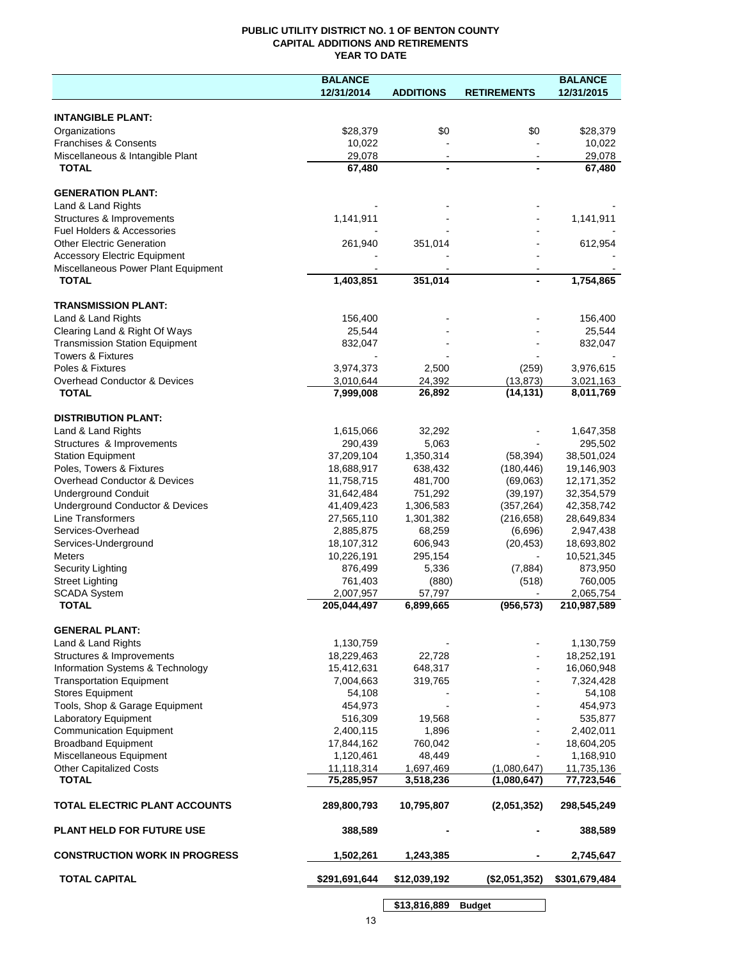## **PUBLIC UTILITY DISTRICT NO. 1 OF BENTON COUNTY CAPITAL ADDITIONS AND RETIREMENTS YEAR TO DATE**

|                                         | <b>BALANCE</b>           |                     |                    | <b>BALANCE</b>           |
|-----------------------------------------|--------------------------|---------------------|--------------------|--------------------------|
|                                         | 12/31/2014               | <b>ADDITIONS</b>    | <b>RETIREMENTS</b> | 12/31/2015               |
|                                         |                          |                     |                    |                          |
| <b>INTANGIBLE PLANT:</b>                |                          |                     |                    |                          |
| Organizations                           | \$28,379                 | \$0                 | \$0                | \$28,379                 |
| <b>Franchises &amp; Consents</b>        | 10,022                   |                     |                    | 10,022                   |
| Miscellaneous & Intangible Plant        | 29,078                   | $\blacksquare$      | $\blacksquare$     | 29,078                   |
| <b>TOTAL</b>                            | 67,480                   |                     |                    | 67,480                   |
| <b>GENERATION PLANT:</b>                |                          |                     |                    |                          |
| Land & Land Rights                      |                          |                     |                    |                          |
| Structures & Improvements               | 1,141,911                |                     |                    | 1,141,911                |
| Fuel Holders & Accessories              |                          |                     |                    |                          |
| <b>Other Electric Generation</b>        | 261,940                  | 351,014             |                    | 612,954                  |
| <b>Accessory Electric Equipment</b>     |                          |                     |                    |                          |
| Miscellaneous Power Plant Equipment     |                          |                     |                    |                          |
| <b>TOTAL</b>                            | 1,403,851                | 351,014             |                    | 1,754,865                |
|                                         |                          |                     |                    |                          |
| <b>TRANSMISSION PLANT:</b>              |                          |                     |                    |                          |
| Land & Land Rights                      | 156,400                  |                     |                    | 156,400                  |
| Clearing Land & Right Of Ways           | 25,544                   |                     |                    | 25,544                   |
| <b>Transmission Station Equipment</b>   | 832,047                  |                     |                    | 832,047                  |
| <b>Towers &amp; Fixtures</b>            |                          |                     |                    |                          |
| Poles & Fixtures                        | 3,974,373                | 2,500               | (259)              | 3,976,615                |
| <b>Overhead Conductor &amp; Devices</b> | 3,010,644                | 24,392              | (13, 873)          | 3,021,163                |
| <b>TOTAL</b>                            | 7,999,008                | 26,892              | (14, 131)          | 8,011,769                |
|                                         |                          |                     |                    |                          |
| <b>DISTRIBUTION PLANT:</b>              |                          |                     |                    |                          |
| Land & Land Rights                      | 1,615,066                | 32,292              |                    | 1,647,358                |
| Structures & Improvements               | 290,439                  | 5,063               |                    | 295,502                  |
| <b>Station Equipment</b>                | 37,209,104               | 1,350,314           | (58, 394)          | 38,501,024               |
| Poles, Towers & Fixtures                | 18,688,917               | 638,432             | (180, 446)         | 19,146,903               |
| Overhead Conductor & Devices            | 11,758,715               | 481,700             | (69,063)           | 12, 171, 352             |
| <b>Underground Conduit</b>              | 31,642,484               | 751,292             | (39, 197)          | 32,354,579               |
| Underground Conductor & Devices         | 41,409,423               | 1,306,583           | (357, 264)         | 42,358,742               |
| Line Transformers                       | 27,565,110               | 1,301,382           | (216, 658)         | 28,649,834               |
| Services-Overhead                       | 2,885,875                | 68,259              | (6,696)            | 2,947,438                |
| Services-Underground                    | 18,107,312               | 606,943             | (20, 453)          | 18,693,802               |
| Meters                                  | 10,226,191               | 295,154             |                    | 10,521,345               |
| Security Lighting                       | 876,499                  | 5,336               | (7, 884)           | 873,950                  |
| <b>Street Lighting</b>                  | 761,403                  | (880)               | (518)              | 760,005                  |
| <b>SCADA System</b><br><b>TOTAL</b>     | 2,007,957<br>205,044,497 | 57,797<br>6,899,665 | (956, 573)         | 2,065,754<br>210,987,589 |
|                                         |                          |                     |                    |                          |
| <b>GENERAL PLANT:</b>                   |                          |                     |                    |                          |
| Land & Land Rights                      | 1,130,759                |                     |                    | 1,130,759                |
| Structures & Improvements               | 18,229,463               | 22,728              |                    | 18,252,191               |
| Information Systems & Technology        | 15,412,631               | 648,317             |                    | 16,060,948               |
| <b>Transportation Equipment</b>         | 7,004,663                | 319,765             |                    | 7,324,428                |
| <b>Stores Equipment</b>                 | 54,108                   |                     |                    | 54,108                   |
| Tools, Shop & Garage Equipment          | 454,973                  |                     |                    | 454,973                  |
| Laboratory Equipment                    | 516,309                  | 19,568              |                    | 535,877                  |
| <b>Communication Equipment</b>          | 2,400,115                | 1,896               |                    | 2,402,011                |
| <b>Broadband Equipment</b>              | 17,844,162               | 760,042             |                    | 18,604,205               |
| Miscellaneous Equipment                 | 1,120,461                | 48,449              |                    | 1,168,910                |
| <b>Other Capitalized Costs</b>          | 11,118,314               | 1,697,469           | (1,080,647)        | 11,735,136               |
| <b>TOTAL</b>                            | 75,285,957               | 3,518,236           | (1,080,647)        | 77,723,546               |
|                                         |                          |                     |                    |                          |
| TOTAL ELECTRIC PLANT ACCOUNTS           | 289,800,793              | 10,795,807          | (2,051,352)        | 298,545,249              |
| <b>PLANT HELD FOR FUTURE USE</b>        | 388,589                  |                     |                    | 388,589                  |
| <b>CONSTRUCTION WORK IN PROGRESS</b>    | 1,502,261                | 1,243,385           |                    | 2,745,647                |
| <b>TOTAL CAPITAL</b>                    | \$291,691,644            |                     | (\$2,051,352)      | \$301,679,484            |
|                                         |                          | \$12,039,192        |                    |                          |
|                                         |                          | \$13,816,889        | <b>Budget</b>      |                          |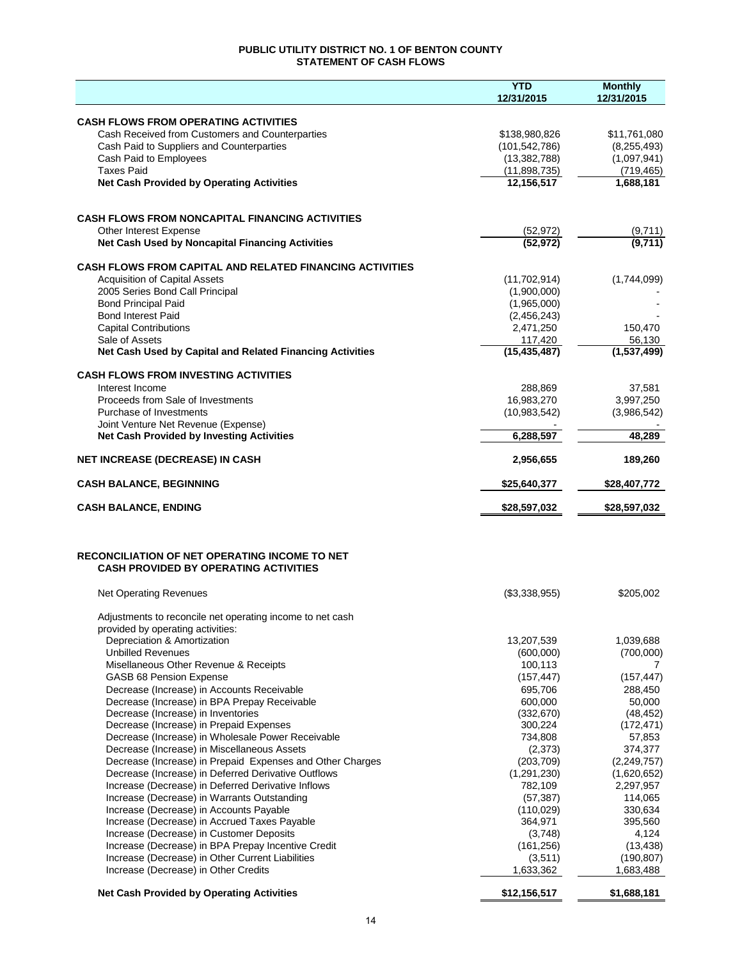## **PUBLIC UTILITY DISTRICT NO. 1 OF BENTON COUNTY STATEMENT OF CASH FLOWS**

|                                                                                                           | <b>YTD</b><br>12/31/2015       | <b>Monthly</b><br>12/31/2015 |
|-----------------------------------------------------------------------------------------------------------|--------------------------------|------------------------------|
|                                                                                                           |                                |                              |
| <b>CASH FLOWS FROM OPERATING ACTIVITIES</b>                                                               |                                |                              |
| Cash Received from Customers and Counterparties                                                           | \$138,980,826                  | \$11,761,080                 |
| Cash Paid to Suppliers and Counterparties                                                                 | (101, 542, 786)                | (8, 255, 493)                |
| Cash Paid to Employees<br><b>Taxes Paid</b>                                                               | (13, 382, 788)<br>(11,898,735) | (1,097,941)<br>(719, 465)    |
| <b>Net Cash Provided by Operating Activities</b>                                                          | 12,156,517                     | 1,688,181                    |
|                                                                                                           |                                |                              |
| <b>CASH FLOWS FROM NONCAPITAL FINANCING ACTIVITIES</b>                                                    |                                |                              |
| Other Interest Expense                                                                                    | (52, 972)                      | (9,711)                      |
| Net Cash Used by Noncapital Financing Activities                                                          | (52, 972)                      | (9,711)                      |
| <b>CASH FLOWS FROM CAPITAL AND RELATED FINANCING ACTIVITIES</b>                                           |                                |                              |
| <b>Acquisition of Capital Assets</b>                                                                      | (11,702,914)                   | (1,744,099)                  |
| 2005 Series Bond Call Principal                                                                           | (1,900,000)                    |                              |
| <b>Bond Principal Paid</b>                                                                                | (1,965,000)                    |                              |
| <b>Bond Interest Paid</b><br><b>Capital Contributions</b>                                                 | (2,456,243)<br>2,471,250       | 150,470                      |
| Sale of Assets                                                                                            | 117,420                        | 56,130                       |
| Net Cash Used by Capital and Related Financing Activities                                                 | (15, 435, 487)                 | (1,537,499)                  |
| <b>CASH FLOWS FROM INVESTING ACTIVITIES</b>                                                               |                                |                              |
| Interest Income                                                                                           | 288,869                        | 37,581                       |
| Proceeds from Sale of Investments                                                                         | 16,983,270                     | 3,997,250                    |
| Purchase of Investments                                                                                   | (10,983,542)                   | (3,986,542)                  |
| Joint Venture Net Revenue (Expense)<br><b>Net Cash Provided by Investing Activities</b>                   | 6,288,597                      | 48,289                       |
| <b>NET INCREASE (DECREASE) IN CASH</b>                                                                    | 2,956,655                      | 189,260                      |
|                                                                                                           |                                |                              |
| <b>CASH BALANCE, BEGINNING</b>                                                                            | \$25,640,377                   | \$28,407,772                 |
| <b>CASH BALANCE, ENDING</b>                                                                               | \$28,597,032                   | \$28,597,032                 |
|                                                                                                           |                                |                              |
| <b>RECONCILIATION OF NET OPERATING INCOME TO NET</b><br><b>CASH PROVIDED BY OPERATING ACTIVITIES</b>      |                                |                              |
| <b>Net Operating Revenues</b>                                                                             | (\$3,338,955)                  | \$205,002                    |
|                                                                                                           |                                |                              |
| Adjustments to reconcile net operating income to net cash                                                 |                                |                              |
| provided by operating activities:<br>Depreciation & Amortization                                          | 13,207,539                     | 1,039,688                    |
| <b>Unbilled Revenues</b>                                                                                  | (600,000)                      | (700,000)                    |
| Misellaneous Other Revenue & Receipts                                                                     | 100,113                        | 7                            |
| GASB 68 Pension Expense                                                                                   | (157, 447)                     | (157, 447)                   |
| Decrease (Increase) in Accounts Receivable                                                                | 695,706                        | 288,450                      |
| Decrease (Increase) in BPA Prepay Receivable                                                              | 600,000                        | 50,000                       |
| Decrease (Increase) in Inventories                                                                        | (332,670)                      | (48, 452)                    |
| Decrease (Increase) in Prepaid Expenses                                                                   | 300,224                        | (172, 471)                   |
| Decrease (Increase) in Wholesale Power Receivable                                                         | 734,808                        | 57,853                       |
| Decrease (Increase) in Miscellaneous Assets                                                               | (2,373)                        | 374,377                      |
| Decrease (Increase) in Prepaid Expenses and Other Charges                                                 | (203, 709)                     | (2, 249, 757)                |
| Decrease (Increase) in Deferred Derivative Outflows<br>Increase (Decrease) in Deferred Derivative Inflows | (1, 291, 230)<br>782,109       | (1,620,652)<br>2,297,957     |
| Increase (Decrease) in Warrants Outstanding                                                               | (57, 387)                      | 114,065                      |
| Increase (Decrease) in Accounts Payable                                                                   | (110, 029)                     | 330,634                      |
| Increase (Decrease) in Accrued Taxes Payable                                                              | 364,971                        | 395,560                      |
| Increase (Decrease) in Customer Deposits                                                                  | (3,748)                        | 4,124                        |
| Increase (Decrease) in BPA Prepay Incentive Credit                                                        | (161, 256)                     | (13, 438)                    |
| Increase (Decrease) in Other Current Liabilities                                                          | (3,511)                        | (190, 807)                   |
| Increase (Decrease) in Other Credits                                                                      | 1,633,362                      | 1,683,488                    |
| <b>Net Cash Provided by Operating Activities</b>                                                          | \$12,156,517                   | \$1,688,181                  |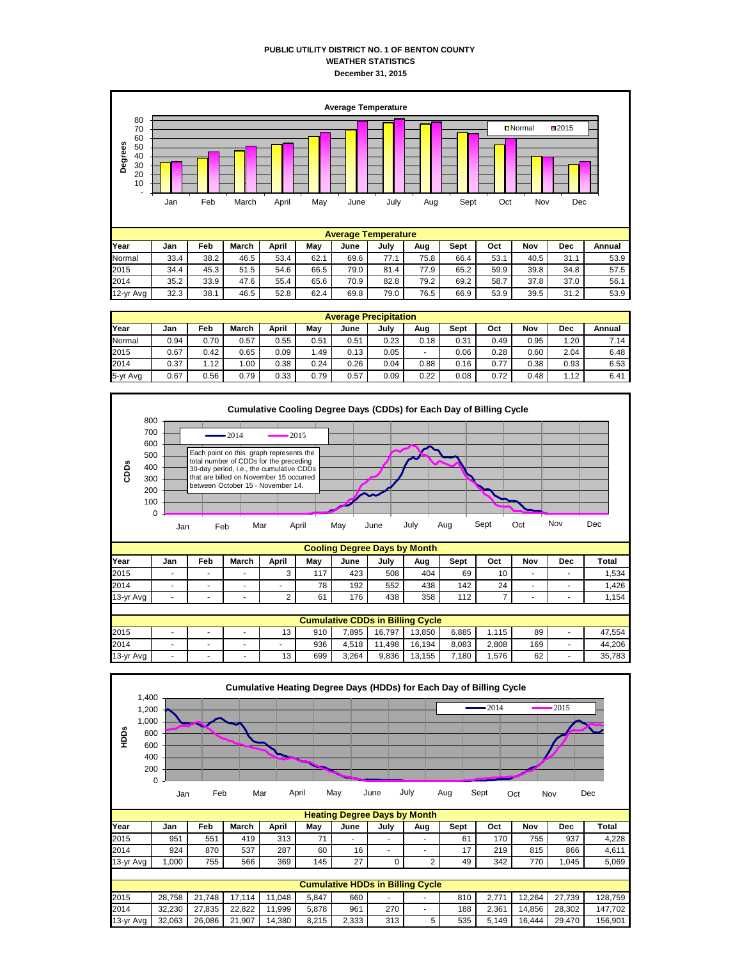## **PUBLIC UTILITY DISTRICT NO. 1 OF BENTON COUNTY WEATHER STATISTICS December 31, 2015**



| Year      | Jan  | Feb  | March | April | Mav  | June | July | Aug  | Sept | Oct  | Nov  | Dec  | Annual |
|-----------|------|------|-------|-------|------|------|------|------|------|------|------|------|--------|
| Normal    | 33.4 | 38.2 | 46.5  | 53.4  | 62.1 | 69.6 | 77.1 | 75.8 | 66.4 | 53.1 | 40.5 | 31.1 | 53.9   |
| 2015      | 34.4 | 45.3 | 51.5  | 54.6  | 66.5 | 79.0 | 81.4 | 77.9 | 65.2 | 59.9 | 39.8 | 34.8 | 57.5   |
| 2014      | 35.2 | 33.9 | 47.6  | 55.4  | 65.6 | 70.9 | 82.8 | 79.2 | 69.2 | 58.7 | 37.8 | 37.0 | 56.1   |
| 12-yr Avg | 32.3 | 38.1 | 46.5  | 52.8  | 62.4 | 69.8 | 79.0 | 76.5 | 66.9 | 53.9 | 39.5 | 31.2 | 53.9   |
|           |      |      |       |       |      |      |      |      |      |      |      |      |        |

|          | <b>Average Precipitation</b> |      |       |       |      |      |      |      |      |      |      |      |        |  |
|----------|------------------------------|------|-------|-------|------|------|------|------|------|------|------|------|--------|--|
| Year     | Jan                          | Feb  | March | April | Mav  | June | July | Aug  | Sept | Oct  | Nov  | Dec  | Annual |  |
| Normal   | 0.94                         | 0.70 | 0.57  | 0.55  | 0.51 | 0.51 | 0.23 | 0.18 | 0.31 | 0.49 | 0.95 | 1.20 | 7.14   |  |
| 2015     | 0.67                         | 0.42 | 0.65  | 0.09  | .49  | 0.13 | 0.05 |      | 0.06 | 0.28 | 0.60 | 2.04 | 6.48   |  |
| 2014     | 0.37                         | 1.12 | 00.   | 0.38  | 0.24 | 0.26 | 0.04 | 0.88 | 0.16 | 0.77 | 0.38 | 0.93 | 6.53   |  |
| 5-yr Avg | 0.67                         | 0.56 | 0.79  | 0.33  | 0.79 | 0.57 | 0.09 | 0.22 | 0.08 | 0.72 | 0.48 | . 12 | 6.41   |  |





|           | <b>Heating Degree Days by Month</b> |        |        |        |       |       |                                         |                |      |       |        |        |         |
|-----------|-------------------------------------|--------|--------|--------|-------|-------|-----------------------------------------|----------------|------|-------|--------|--------|---------|
| Year      | Jan                                 | Feb    | March  | April  | Mav   | June  | July                                    | Aug            | Sept | Oct   | Nov    | Dec    | Total   |
| 2015      | 951                                 | 551    | 419    | 313    | 71    |       | ۰.                                      | ۰              | 61   | 170   | 755    | 937    | 4.228   |
| 2014      | 924                                 | 870    | 537    | 287    | 60    | 16    | ۰                                       | ۰              | 17   | 219   | 815    | 866    | 4.611   |
| 13-yr Avg | .000                                | 755    | 566    | 369    | 145   | 27    |                                         | $\overline{2}$ | 49   | 342   | 770    | 1.045  | 5.069   |
|           |                                     |        |        |        |       |       |                                         |                |      |       |        |        |         |
|           |                                     |        |        |        |       |       | <b>Cumulative HDDs in Billing Cycle</b> |                |      |       |        |        |         |
| 2015      | 28.758                              | 21.748 | 17.114 | 11.048 | 5.847 | 660   | ۰.                                      |                | 810  | 2.771 | 12.264 | 27.739 | 128.759 |
| 2014      | 32.230                              | 27.835 | 22.822 | 11.999 | 5.878 | 961   | 270                                     | ۰              | 188  | 2.361 | 14.856 | 28.302 | 147.702 |
| 13-yr Avg | 32,063                              | 26.086 | 21.907 | 14.380 | 8.215 | 2,333 | 313                                     | 5              | 535  | 5.149 | 16.444 | 29.470 | 156.901 |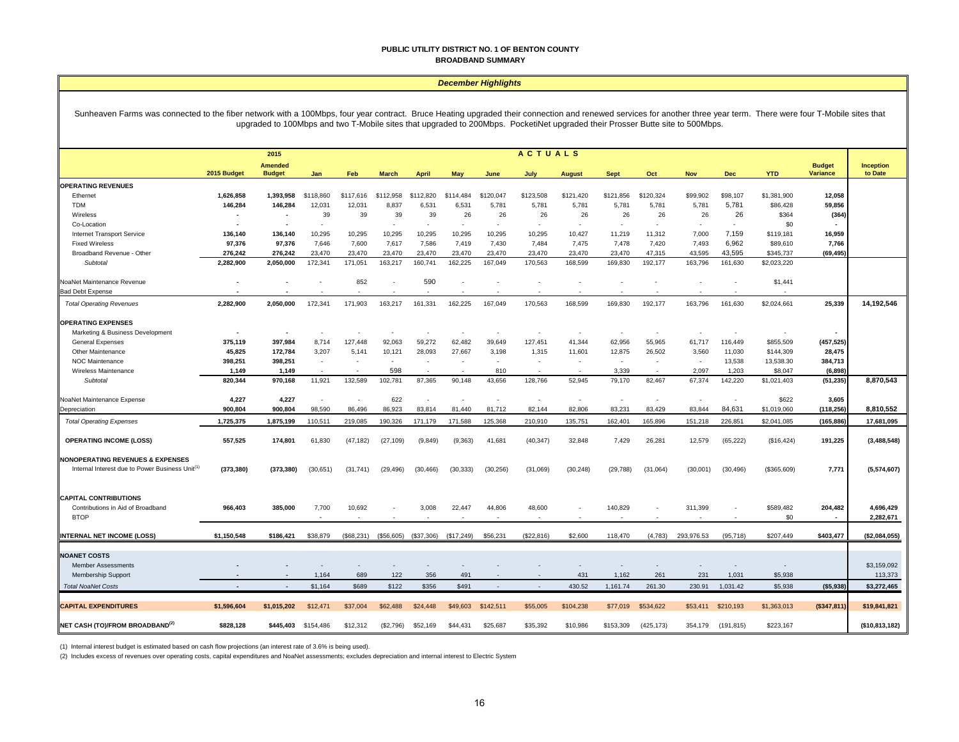#### **PUBLIC UTILITY DISTRICT NO. 1 OF BENTON COUNTY BROADBAND SUMMARY**

## *December Highlights*

Sunheaven Farms was connected to the fiber network with a 100Mbps, four year contract. Bruce Heating upgraded their connection and renewed services for another three year term. There were four T-Mobile sites that upgraded to 100Mbps and two T-Mobile sites that upgraded to 200Mbps. PocketiNet upgraded their Prosser Butte site to 500Mbps.

|                                                                                                            | <b>ACTUALS</b><br>2015 |                                 |                          |            |              |              |            |           |                          |                          |                          |            |                          |                          |             |                                  |                             |
|------------------------------------------------------------------------------------------------------------|------------------------|---------------------------------|--------------------------|------------|--------------|--------------|------------|-----------|--------------------------|--------------------------|--------------------------|------------|--------------------------|--------------------------|-------------|----------------------------------|-----------------------------|
|                                                                                                            | 2015 Budget            | <b>Amended</b><br><b>Budget</b> | Jan                      | Feb        | <b>March</b> | <b>April</b> | <b>May</b> | June      | July                     | <b>August</b>            | <b>Sept</b>              | Oct        | <b>Nov</b>               | <b>Dec</b>               | <b>YTD</b>  | <b>Budget</b><br><b>Variance</b> | <b>Inception</b><br>to Date |
| <b>OPERATING REVENUES</b>                                                                                  |                        |                                 |                          |            |              |              |            |           |                          |                          |                          |            |                          |                          |             |                                  |                             |
| Ethernet                                                                                                   | 1,626,858              | 1,393,958                       | \$118,860                | \$117,616  | \$112,958    | \$112,820    | \$114,484  | \$120,047 | \$123,508                | \$121,420                | \$121,856                | \$120,324  | \$99,902                 | \$98,107                 | \$1,381,900 | 12,058                           |                             |
| <b>TDM</b>                                                                                                 | 146,284                | 146,284                         | 12,031                   | 12,031     | 8,837        | 6,531        | 6,531      | 5,781     | 5,781                    | 5,781                    | 5,781                    | 5,781      | 5,781                    | 5,781                    | \$86,428    | 59,856                           |                             |
| Wireless                                                                                                   |                        | ٠                               | 39                       | 39         | 39           | 39           | 26         | 26        | 26                       | 26                       | 26                       | 26         | 26                       | 26                       | \$364       | (364)                            |                             |
| Co-Location                                                                                                |                        | $\overline{\phantom{a}}$        |                          |            | ÷            | ÷            | ٠          |           | $\overline{\phantom{a}}$ | $\sim$                   | $\overline{\phantom{a}}$ |            | $\sim$                   | $\overline{\phantom{a}}$ | \$0         |                                  |                             |
| <b>Internet Transport Service</b>                                                                          | 136,140                | 136,140                         | 10,295                   | 10,295     | 10,295       | 10,295       | 10,295     | 10,295    | 10,295                   | 10,427                   | 11,219                   | 11,312     | 7,000                    | 7,159                    | \$119,181   | 16,959                           |                             |
| <b>Fixed Wireless</b>                                                                                      | 97,376                 | 97,376                          | 7,646                    | 7,600      | 7,617        | 7,586        | 7,419      | 7,430     | 7,484                    | 7,475                    | 7,478                    | 7,420      | 7,493                    | 6,962                    | \$89,610    | 7,766                            |                             |
| Broadband Revenue - Other                                                                                  | 276,242                | 276,242                         | 23,470                   | 23,470     | 23,470       | 23,470       | 23,470     | 23,470    | 23,470                   | 23,470                   | 23,470                   | 47,315     | 43,595                   | 43,595                   | \$345,737   | (69, 495)                        |                             |
| Subtotal                                                                                                   | 2,282,900              | 2,050,000                       | 172,341                  | 171,051    | 163,217      | 160,741      | 162,225    | 167,049   | 170,563                  | 168,599                  | 169,830                  | 192,177    | 163,796                  | 161,630                  | \$2,023,220 |                                  |                             |
| NoaNet Maintenance Revenue                                                                                 |                        |                                 |                          | 852        |              | 590          |            |           |                          |                          |                          |            |                          |                          | \$1,441     |                                  |                             |
| <b>Bad Debt Expense</b>                                                                                    |                        |                                 |                          |            |              |              |            |           | Ĭ.                       | $\overline{\phantom{a}}$ |                          |            |                          |                          |             |                                  |                             |
| <b>Total Operating Revenues</b>                                                                            | 2,282,900              | 2,050,000                       | 172,341                  | 171,903    | 163,217      | 161,331      | 162.225    | 167,049   | 170,563                  | 168,599                  | 169,830                  | 192,177    | 163,796                  | 161,630                  | \$2,024,661 | 25,339                           | 14,192,546                  |
| <b>OPERATING EXPENSES</b>                                                                                  |                        |                                 |                          |            |              |              |            |           |                          |                          |                          |            |                          |                          |             |                                  |                             |
| Marketing & Business Development                                                                           |                        | $\blacksquare$                  |                          |            |              |              |            |           |                          |                          |                          |            |                          |                          |             |                                  |                             |
| General Expenses                                                                                           | 375,119                | 397,984                         | 8,714                    | 127,448    | 92,063       | 59,272       | 62,482     | 39,649    | 127,451                  | 41,344                   | 62,956                   | 55,965     | 61,717                   | 116,449                  | \$855,509   | (457, 525)                       |                             |
| Other Maintenance                                                                                          | 45,825                 | 172,784                         | 3,207                    | 5,141      | 10,121       | 28,093       | 27,667     | 3,198     | 1,315                    | 11,601                   | 12,875                   | 26,502     | 3,560                    | 11,030                   | \$144,309   | 28,475                           |                             |
| <b>NOC Maintenance</b>                                                                                     | 398,251                | 398,251                         | $\overline{\phantom{a}}$ | $\sim$     | $\sim$       | $\sim$       |            |           | $\overline{\phantom{a}}$ | $\overline{\phantom{a}}$ | $\overline{\phantom{a}}$ |            | $\sim$                   | 13,538                   | 13,538.30   | 384,713                          |                             |
| Wireless Maintenance                                                                                       | 1.149                  | 1.149                           |                          |            | 598          |              |            | 810       |                          |                          | 3.339                    |            | 2.097                    | 1.203                    | \$8,047     | (6, 898)                         |                             |
| Subtotal                                                                                                   | 820,344                | 970,168                         | 11,921                   | 132,589    | 102,781      | 87,365       | 90,148     | 43,656    | 128,766                  | 52,945                   | 79,170                   | 82,467     | 67,374                   | 142,220                  | \$1,021,403 | (51, 235)                        | 8,870,543                   |
|                                                                                                            |                        |                                 |                          |            |              |              |            |           |                          |                          |                          |            |                          |                          |             |                                  |                             |
| NoaNet Maintenance Expense                                                                                 | 4,227                  | 4,227                           |                          |            | 622          |              |            | $\sim$    | $\sim$                   | $\overline{\phantom{a}}$ | $\overline{\phantom{a}}$ | $\sim$     | $\overline{\phantom{a}}$ | $\overline{\phantom{a}}$ | \$622       | 3,605                            |                             |
| Depreciation                                                                                               | 900,804                | 900,804                         | 98,590                   | 86,496     | 86,923       | 83,814       | 81,440     | 81,712    | 82,144                   | 82,806                   | 83,231                   | 83,429     | 83,844                   | 84,631                   | \$1,019,060 | (118, 256)                       | 8,810,552                   |
| <b>Total Operating Expenses</b>                                                                            | 1,725,375              | 1,875,199                       | 110,511                  | 219,085    | 190,326      | 171,179      | 171,588    | 125,368   | 210,910                  | 135,751                  | 162,401                  | 165,896    | 151,218                  | 226,851                  | \$2,041,085 | (165, 886)                       | 17,681,095                  |
| <b>OPERATING INCOME (LOSS)</b>                                                                             | 557,525                | 174,801                         | 61,830                   | (47, 182)  | (27, 109)    | (9, 849)     | (9, 363)   | 41,681    | (40, 347)                | 32,848                   | 7,429                    | 26,281     | 12,579                   | (65, 222)                | (\$16,424)  | 191,225                          | (3,488,548)                 |
|                                                                                                            |                        |                                 |                          |            |              |              |            |           |                          |                          |                          |            |                          |                          |             |                                  |                             |
| <b>NONOPERATING REVENUES &amp; EXPENSES</b><br>Internal Interest due to Power Business Unit <sup>(1)</sup> | (373, 380)             | (373, 380)                      | (30, 651)                | (31, 741)  | (29, 496)    | (30, 466)    | (30, 333)  | (30, 256) | (31,069)                 | (30, 248)                | (29, 788)                | (31,064)   | (30,001)                 | (30, 496)                | (\$365,609) | 7,771                            | (5,574,607)                 |
| <b>CAPITAL CONTRIBUTIONS</b>                                                                               |                        |                                 |                          |            |              |              |            |           |                          |                          |                          |            |                          |                          |             |                                  |                             |
| Contributions in Aid of Broadband                                                                          | 966,403                | 385,000                         | 7,700                    | 10,692     |              | 3,008        | 22,447     | 44,806    | 48,600                   |                          | 140,829                  |            | 311,399                  |                          | \$589,482   | 204,482                          | 4,696,429                   |
| <b>BTOP</b>                                                                                                |                        |                                 | $\overline{\phantom{a}}$ |            |              |              |            |           | $\sim$                   |                          |                          |            |                          |                          | \$0         | $\overline{\phantom{a}}$         | 2,282,671                   |
|                                                                                                            |                        |                                 |                          |            |              |              |            |           |                          |                          |                          |            |                          |                          |             |                                  |                             |
| <b>INTERNAL NET INCOME (LOSS)</b>                                                                          | \$1,150,548            | \$186,421                       | \$38,879                 | (\$68,231) | (\$56,605)   | (\$37,306)   | (\$17,249) | \$56,231  | (\$22,816)               | \$2,600                  | 118,470                  | (4, 783)   | 293,976.53               | (95, 718)                | \$207,449   | \$403,477                        | (\$2,084,055)               |
|                                                                                                            |                        |                                 |                          |            |              |              |            |           |                          |                          |                          |            |                          |                          |             |                                  |                             |
| <b>NOANET COSTS</b>                                                                                        |                        |                                 |                          |            |              |              |            |           |                          |                          |                          |            |                          |                          |             |                                  | \$3,159,092                 |
| <b>Member Assessments</b>                                                                                  |                        |                                 | 1.164                    | 689        | 122          | 356          | 491        |           |                          | 431                      | 1.162                    | 261        | 231                      | 1,031                    | \$5,938     |                                  |                             |
| Membership Support                                                                                         |                        |                                 |                          |            |              |              |            |           |                          |                          |                          |            |                          |                          |             |                                  | 113,373                     |
| <b>Total NoaNet Costs</b>                                                                                  |                        | $\sim$                          | \$1,164                  | \$689      | \$122        | \$356        | \$491      |           | $\sim$                   | 430.52                   | 1,161.74                 | 261.30     | 230.91                   | 1,031.42                 | \$5,938     | ( \$5,938]                       | \$3,272,465                 |
| <b>CAPITAL EXPENDITURES</b>                                                                                | \$1,596,604            | \$1.015.202                     | \$12,471                 | \$37,004   | \$62,488     | \$24,448     | \$49,603   | \$142,511 | \$55,005                 | \$104,238                | \$77,019                 | \$534.622  | \$53,411                 | \$210,193                | \$1,363,013 | ( \$347, 811]                    | \$19,841,821                |
| NET CASH (TO)/FROM BROADBAND <sup>(2)</sup>                                                                | \$828,128              | \$445,403                       | \$154,486                | \$12,312   | (\$2,796)    | \$52,169     | \$44,431   | \$25,687  | \$35,392                 | \$10,986                 | \$153,309                | (425, 173) | 354,179                  | (191, 815)               | \$223,167   |                                  | (\$10,813,182)              |

(1) Internal interest budget is estimated based on cash flow projections (an interest rate of 3.6% is being used).

(2) Includes excess of revenues over operating costs, capital expenditures and NoaNet assessments; excludes depreciation and internal interest to Electric System